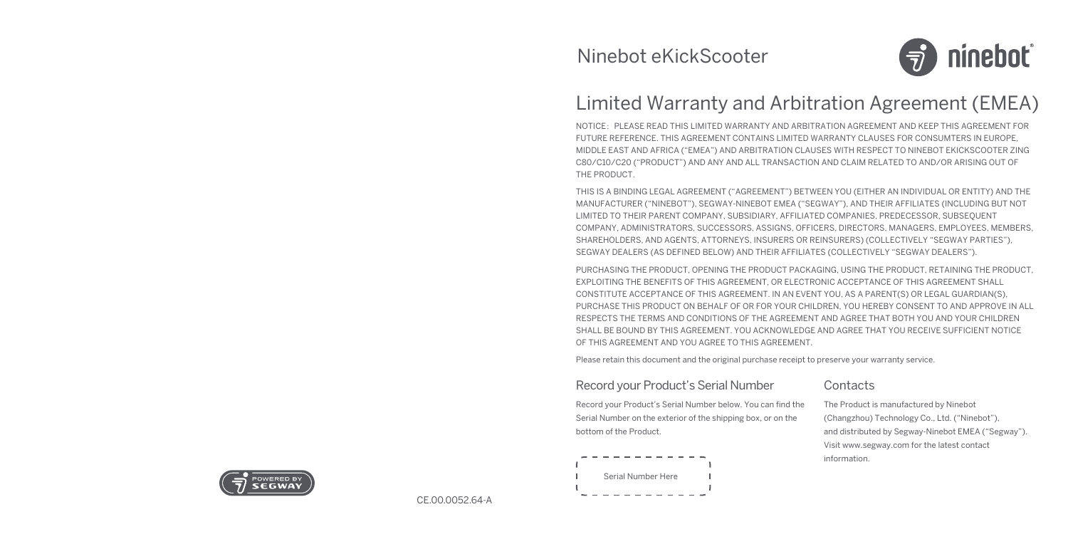

# Limited Warranty and Arbitration Agreement (EMEA)

NOTICE:PLEASE READ THIS LIMITED WARRANTY AND ARBITRATION AGREEMENT AND KEEP THIS AGREEMENT FOR FUTURE REFERENCE. THIS AGREEMENT CONTAINS LIMITED WARRANTY CLAUSES FOR CONSUMTERS IN EUROPE, MIDDLE EAST AND AFRICA ("EMEA") AND ARBITRATION CLAUSES WITH RESPECT TO NINEBOT EKICKSCOOTER ZING C80/C10/C20 ("PRODUCT") AND ANY AND ALL TRANSACTION AND CLAIM RELATED TO AND/OR ARISING OUT OF THE PRODUCT.

THIS IS A BINDING LEGAL AGREEMENT ("AGREEMENT") BETWEEN YOU (EITHER AN INDIVIDUAL OR ENTITY) AND THE MANUFACTURER ("NINEBOT"), SEGWAY-NINEBOT EMEA ("SEGWAY"), AND THEIR AFFILIATES (INCLUDING BUT NOT LIMITED TO THEIR PARENT COMPANY, SUBSIDIARY, AFFILIATED COMPANIES, PREDECESSOR, SUBSEQUENT COMPANY, ADMINISTRATORS, SUCCESSORS, ASSIGNS, OFFICERS, DIRECTORS, MANAGERS, EMPLOYEES, MEMBERS, SHAREHOLDERS, AND AGENTS, ATTORNEYS, INSURERS OR REINSURERS) (COLLECTIVELY "SEGWAY PARTIES"), SEGWAY DEALERS (AS DEFINED BELOW) AND THEIR AFFILIATES (COLLECTIVELY "SEGWAY DEALERS").

PURCHASING THE PRODUCT, OPENING THE PRODUCT PACKAGING, USING THE PRODUCT, RETAINING THE PRODUCT, EXPLOITING THE BENEFITS OF THIS AGREEMENT, OR ELECTRONIC ACCEPTANCE OF THIS AGREEMENT SHALL CONSTITUTE ACCEPTANCE OF THIS AGREEMENT. IN AN EVENT YOU, AS A PARENT(S) OR LEGAL GUARDIAN(S), PURCHASE THIS PRODUCT ON BEHALF OF OR FOR YOUR CHILDREN, YOU HEREBY CONSENT TO AND APPROVE IN ALL RESPECTS THE TERMS AND CONDITIONS OF THE AGREEMENT AND AGREE THAT BOTH YOU AND YOUR CHILDREN SHALL BE BOUND BY THIS AGREEMENT. YOU ACKNOWLEDGE AND AGREE THAT YOU RECEIVE SUFFICIENT NOTICE OF THIS AGREEMENT AND YOU AGREE TO THIS AGREEMENT.

Please retain this document and the original purchase receipt to preserve your warranty service.

#### Record your Product's Serial Number

Record your Product's Serial Number below. You can find the Serial Number on the exterior of the shipping box, or on the bottom of the Product.

# Serial Number Here

## **Contacts**

The Product is manufactured by Ninebot (Changzhou) Technology Co., Ltd. ("Ninebot"), and distributed by Segway-Ninebot EMEA ("Segway"). Visit www.segway.com for the latest contact information.



CE.00.0052.64-A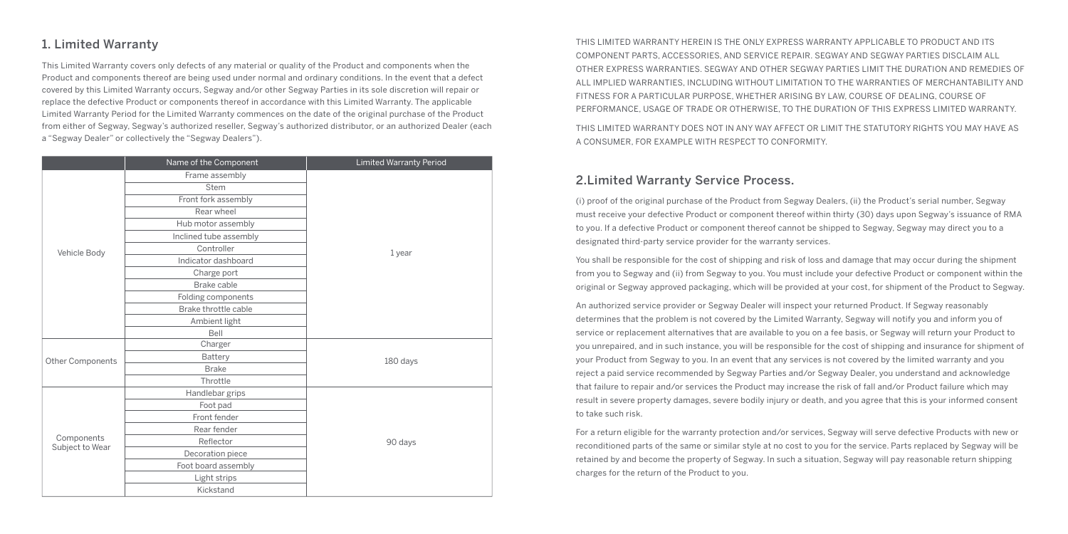## 1. Limited Warranty

This Limited Warranty covers only defects of any material or quality of the Product and components when the Product and components thereof are being used under normal and ordinary conditions. In the event that a defect covered by this Limited Warranty occurs, Segway and/or other Segway Parties in its sole discretion will repair or replace the defective Product or components thereof in accordance with this Limited Warranty. The applicable Limited Warranty Period for the Limited Warranty commences on the date of the original purchase of the Product from either of Segway, Segway's authorized reseller, Segway's authorized distributor, or an authorized Dealer (each a "Segway Dealer" or collectively the "Segway Dealers").

|                               | Name of the Component  | <b>Limited Warranty Period</b> |
|-------------------------------|------------------------|--------------------------------|
|                               | Frame assembly         |                                |
|                               | Stem                   |                                |
|                               | Front fork assembly    |                                |
|                               | Rear wheel             |                                |
|                               | Hub motor assembly     |                                |
|                               | Inclined tube assembly |                                |
| Vehicle Body                  | Controller             | 1 year                         |
|                               | Indicator dashboard    |                                |
|                               | Charge port            |                                |
|                               | Brake cable            |                                |
|                               | Folding components     |                                |
|                               | Brake throttle cable   |                                |
|                               | Ambient light          |                                |
|                               | Bell                   |                                |
|                               | Charger                | 180 days                       |
| Other Components              | Battery                |                                |
|                               | <b>Brake</b>           |                                |
|                               | Throttle               |                                |
|                               | Handlebar grips        |                                |
| Components<br>Subject to Wear | Foot pad               | 90 days                        |
|                               | Front fender           |                                |
|                               | Rear fender            |                                |
|                               | Reflector              |                                |
|                               | Decoration piece       |                                |
|                               | Foot board assembly    |                                |
|                               | Light strips           |                                |
|                               | Kickstand              |                                |

THIS LIMITED WARRANTY HEREIN IS THE ONLY EXPRESS WARRANTY APPLICABLE TO PRODUCT AND ITS COMPONENT PARTS, ACCESSORIES, AND SERVICE REPAIR. SEGWAY AND SEGWAY PARTIES DISCLAIM ALL OTHER EXPRESS WARRANTIES. SEGWAY AND OTHER SEGWAY PARTIES LIMIT THE DURATION AND REMEDIES OF ALL IMPLIED WARRANTIES, INCLUDING WITHOUT LIMITATION TO THE WARRANTIES OF MERCHANTABILITY AND FITNESS FOR A PARTICULAR PURPOSE, WHETHER ARISING BY LAW, COURSE OF DEALING, COURSE OF PERFORMANCE, USAGE OF TRADE OR OTHERWISE, TO THE DURATION OF THIS EXPRESS LIMITED WARRANTY. THIS LIMITED WARRANTY DOES NOT IN ANY WAY AFFECT OR LIMIT THE STATUTORY RIGHTS YOU MAY HAVE AS A CONSUMER, FOR EXAMPLE WITH RESPECT TO CONFORMITY.

## 2.Limited Warranty Service Process.

(i) proof of the original purchase of the Product from Segway Dealers, (ii) the Product's serial number, Segway must receive your defective Product or component thereof within thirty (30) days upon Segway's issuance of RMA to you. If a defective Product or component thereof cannot be shipped to Segway, Segway may direct you to a designated third-party service provider for the warranty services.

You shall be responsible for the cost of shipping and risk of loss and damage that may occur during the shipment from you to Segway and (ii) from Segway to you. You must include your defective Product or component within the original or Segway approved packaging, which will be provided at your cost, for shipment of the Product to Segway.

An authorized service provider or Segway Dealer will inspect your returned Product. If Segway reasonably determines that the problem is not covered by the Limited Warranty, Segway will notify you and inform you of service or replacement alternatives that are available to you on a fee basis, or Segway will return your Product to you unrepaired, and in such instance, you will be responsible for the cost of shipping and insurance for shipment of your Product from Segway to you. In an event that any services is not covered by the limited warranty and you reject a paid service recommended by Segway Parties and/or Segway Dealer, you understand and acknowledge that failure to repair and/or services the Product may increase the risk of fall and/or Product failure which may result in severe property damages, severe bodily injury or death, and you agree that this is your informed consent to take such risk.

For a return eligible for the warranty protection and/or services, Segway will serve defective Products with new or reconditioned parts of the same or similar style at no cost to you for the service. Parts replaced by Segway will be retained by and become the property of Segway. In such a situation, Segway will pay reasonable return shipping charges for the return of the Product to you.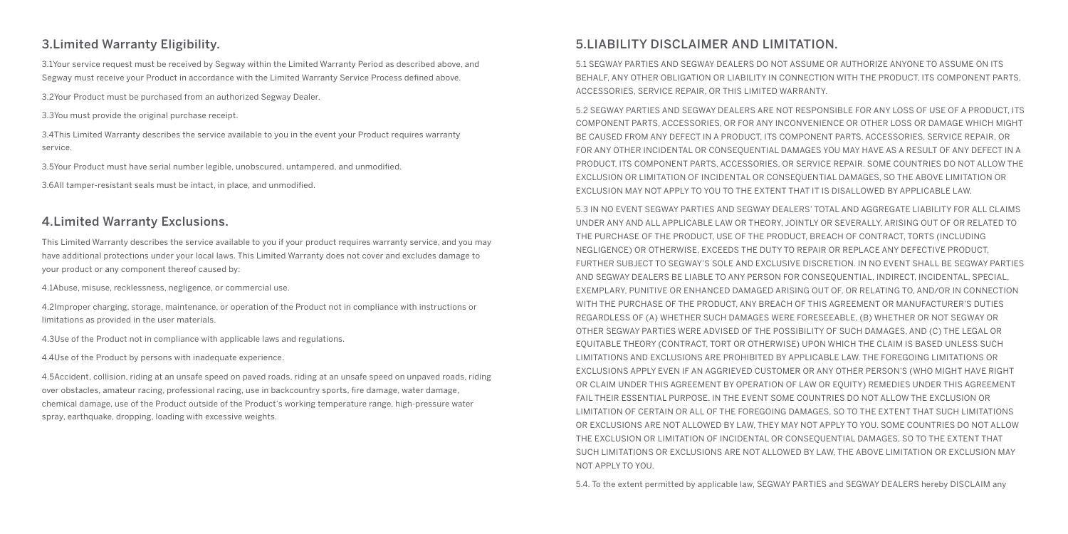## 3.Limited Warranty Eligibility.

3.1Your service request must be received by Segway within the Limited Warranty Period as described above, and Segway must receive your Product in accordance with the Limited Warranty Service Process defined above.

3.2Your Product must be purchased from an authorized Segway Dealer.

3.3You must provide the original purchase receipt.

3.4This Limited Warranty describes the service available to you in the event your Product requires warranty service.

3.5Your Product must have serial number legible, unobscured, untampered, and unmodified.

3.6All tamper-resistant seals must be intact, in place, and unmodified.

#### 4.Limited Warranty Exclusions.

This Limited Warranty describes the service available to you if your product requires warranty service, and you may have additional protections under your local laws. This Limited Warranty does not cover and excludes damage to your product or any component thereof caused by:

4.1Abuse, misuse, recklessness, negligence, or commercial use.

4.2Improper charging, storage, maintenance, or operation of the Product not in compliance with instructions or limitations as provided in the user materials.

4.3Use of the Product not in compliance with applicable laws and regulations.

4.4Use of the Product by persons with inadequate experience.

4.5Accident, collision, riding at an unsafe speed on paved roads, riding at an unsafe speed on unpaved roads, riding over obstacles, amateur racing, professional racing, use in backcountry sports, fire damage, water damage, chemical damage, use of the Product outside of the Product's working temperature range, high-pressure water spray, earthquake, dropping, loading with excessive weights.

## 5.LIABILITY DISCLAIMER AND LIMITATION.

5.1 SEGWAY PARTIES AND SEGWAY DEALERS DO NOT ASSUME OR AUTHORIZE ANYONE TO ASSUME ON ITS BEHALF, ANY OTHER OBLIGATION OR LIABILITY IN CONNECTION WITH THE PRODUCT, ITS COMPONENT PARTS, ACCESSORIES, SERVICE REPAIR, OR THIS LIMITED WARRANTY.

5.2 SEGWAY PARTIES AND SEGWAY DEALERS ARE NOT RESPONSIBLE FOR ANY LOSS OF USE OF A PRODUCT, ITS COMPONENT PARTS, ACCESSORIES, OR FOR ANY INCONVENIENCE OR OTHER LOSS OR DAMAGE WHICH MIGHT BE CAUSED FROM ANY DEFECT IN A PRODUCT, ITS COMPONENT PARTS, ACCESSORIES, SERVICE REPAIR, OR FOR ANY OTHER INCIDENTAL OR CONSEQUENTIAL DAMAGES YOU MAY HAVE AS A RESULT OF ANY DEFECT IN A PRODUCT, ITS COMPONENT PARTS, ACCESSORIES, OR SERVICE REPAIR. SOME COUNTRIES DO NOT ALLOW THE EXCLUSION OR LIMITATION OF INCIDENTAL OR CONSEQUENTIAL DAMAGES, SO THE ABOVE LIMITATION OR EXCLUSION MAY NOT APPLY TO YOU TO THE EXTENT THAT IT IS DISALLOWED BY APPLICABLE LAW.

5.3 IN NO EVENT SEGWAY PARTIES AND SEGWAY DEALERS' TOTAL AND AGGREGATE LIABILITY FOR ALL CLAIMS UNDER ANY AND ALL APPLICABLE LAW OR THEORY, JOINTLY OR SEVERALLY, ARISING OUT OF OR RELATED TO THE PURCHASE OF THE PRODUCT, USE OF THE PRODUCT, BREACH OF CONTRACT, TORTS (INCLUDING NEGLIGENCE) OR OTHERWISE, EXCEEDS THE DUTY TO REPAIR OR REPLACE ANY DEFECTIVE PRODUCT, FURTHER SUBJECT TO SEGWAY'S SOLE AND EXCLUSIVE DISCRETION. IN NO EVENT SHALL BE SEGWAY PARTIES AND SEGWAY DEALERS BE LIABLE TO ANY PERSON FOR CONSEQUENTIAL, INDIRECT, INCIDENTAL, SPECIAL, EXEMPLARY, PUNITIVE OR ENHANCED DAMAGED ARISING OUT OF, OR RELATING TO, AND/OR IN CONNECTION WITH THE PURCHASE OF THE PRODUCT, ANY BREACH OF THIS AGREEMENT OR MANUFACTURER'S DUTIES REGARDLESS OF (A) WHETHER SUCH DAMAGES WERE FORESEEABLE, (B) WHETHER OR NOT SEGWAY OR OTHER SEGWAY PARTIES WERE ADVISED OF THE POSSIBILITY OF SUCH DAMAGES, AND (C) THE LEGAL OR EQUITABLE THEORY (CONTRACT, TORT OR OTHERWISE) UPON WHICH THE CLAIM IS BASED UNLESS SUCH LIMITATIONS AND EXCLUSIONS ARE PROHIBITED BY APPLICABLE LAW. THE FOREGOING LIMITATIONS OR EXCLUSIONS APPLY EVEN IF AN AGGRIEVED CUSTOMER OR ANY OTHER PERSON'S (WHO MIGHT HAVE RIGHT OR CLAIM UNDER THIS AGREEMENT BY OPERATION OF LAW OR EQUITY) REMEDIES UNDER THIS AGREEMENT FAIL THEIR ESSENTIAL PURPOSE. IN THE EVENT SOME COUNTRIES DO NOT ALLOW THE EXCLUSION OR LIMITATION OF CERTAIN OR ALL OF THE FOREGOING DAMAGES, SO TO THE EXTENT THAT SUCH LIMITATIONS OR EXCLUSIONS ARE NOT ALLOWED BY LAW, THEY MAY NOT APPLY TO YOU. SOME COUNTRIES DO NOT ALLOW THE EXCLUSION OR LIMITATION OF INCIDENTAL OR CONSEQUENTIAL DAMAGES, SO TO THE EXTENT THAT SUCH LIMITATIONS OR EXCLUSIONS ARE NOT ALLOWED BY LAW, THE ABOVE LIMITATION OR EXCLUSION MAY NOT APPLY TO YOU.

5.4. To the extent permitted by applicable law, SEGWAY PARTIES and SEGWAY DEALERS hereby DISCLAIM any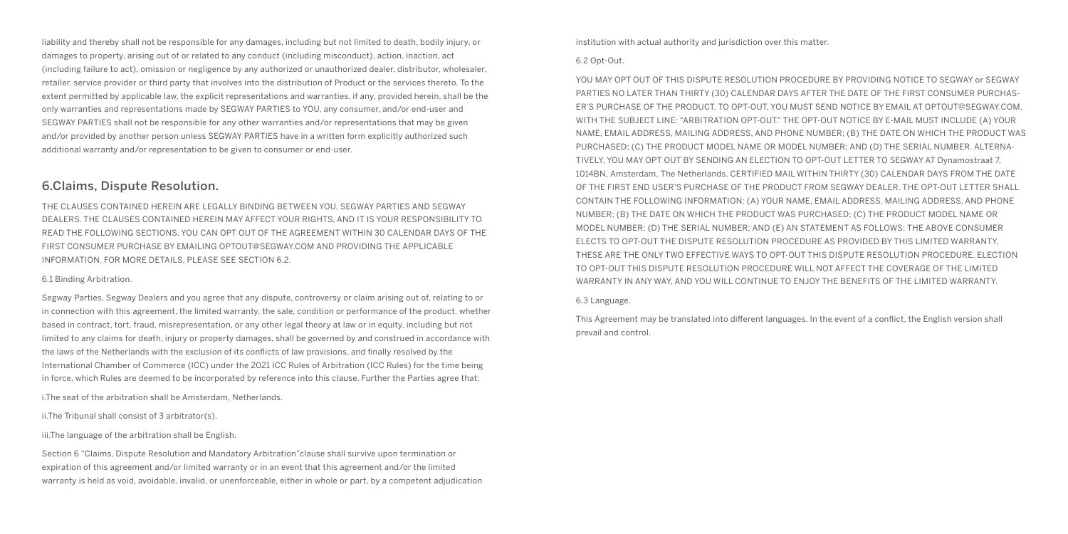liability and thereby shall not be responsible for any damages, including but not limited to death, bodily injury, or damages to property, arising out of or related to any conduct (including misconduct), action, inaction, act (including failure to act), omission or negligence by any authorized or unauthorized dealer, distributor, wholesaler, retailer, service provider or third party that involves into the distribution of Product or the services thereto. To the extent permitted by applicable law, the explicit representations and warranties, if any, provided herein, shall be the only warranties and representations made by SEGWAY PARTIES to YOU, any consumer, and/or end-user and SEGWAY PARTIES shall not be responsible for any other warranties and/or representations that may be given and/or provided by another person unless SEGWAY PARTIES have in a written form explicitly authorized such additional warranty and/or representation to be given to consumer or end-user.

#### 6.Claims, Dispute Resolution.

THE CLAUSES CONTAINED HEREIN ARE LEGALLY BINDING BETWEEN YOU, SEGWAY PARTIES AND SEGWAY DEALERS. THE CLAUSES CONTAINED HEREIN MAY AFFECT YOUR RIGHTS, AND IT IS YOUR RESPONSIBILITY TO READ THE FOLLOWING SECTIONS. YOU CAN OPT OUT OF THE AGREEMENT WITHIN 30 CALENDAR DAYS OF THE FIRST CONSUMER PURCHASE BY EMAILING OPTOUT@SEGWAY.COM AND PROVIDING THE APPLICABLE INFORMATION. FOR MORE DETAILS, PLEASE SEE SECTION 6.2.

#### 6.1 Binding Arbitration.

Segway Parties, Segway Dealers and you agree that any dispute, controversy or claim arising out of, relating to or in connection with this agreement, the limited warranty, the sale, condition or performance of the product, whether based in contract, tort, fraud, misrepresentation, or any other legal theory at law or in equity, including but not limited to any claims for death, injury or property damages, shall be governed by and construed in accordance with the laws of the Netherlands with the exclusion of its conflicts of law provisions, and finally resolved by the International Chamber of Commerce (ICC) under the 2021 ICC Rules of Arbitration (ICC Rules) for the time being in force, which Rules are deemed to be incorporated by reference into this clause. Further the Parties agree that:

i.The seat of the arbitration shall be Amsterdam, Netherlands.

ii.The Tribunal shall consist of 3 arbitrator(s).

iii.The language of the arbitration shall be English.

Section 6 "Claims, Dispute Resolution and Mandatory Arbitration"clause shall survive upon termination or expiration of this agreement and/or limited warranty or in an event that this agreement and/or the limited warranty is held as void, avoidable, invalid, or unenforceable, either in whole or part, by a competent adjudication institution with actual authority and jurisdiction over this matter.

#### 6.2 Opt-Out.

YOU MAY OPT OUT OF THIS DISPUTE RESOLUTION PROCEDURE BY PROVIDING NOTICE TO SEGWAY or SEGWAY PARTIES NO LATER THAN THIRTY (30) CALENDAR DAYS AFTER THE DATE OF THE FIRST CONSUMER PURCHAS-ER'S PURCHASE OF THE PRODUCT. TO OPT-OUT, YOU MUST SEND NOTICE BY EMAIL AT OPTOUT@SEGWAY.COM, WITH THE SUBJECT LINE: "ARBITRATION OPT-OUT." THE OPT-OUT NOTICE BY E-MAIL MUST INCLUDE (A) YOUR NAME, EMAIL ADDRESS, MAILING ADDRESS, AND PHONE NUMBER; (B) THE DATE ON WHICH THE PRODUCT WAS PURCHASED; (C) THE PRODUCT MODEL NAME OR MODEL NUMBER; AND (D) THE SERIAL NUMBER. ALTERNA-TIVELY, YOU MAY OPT OUT BY SENDING AN ELECTION TO OPT-OUT LETTER TO SEGWAY AT Dynamostraat 7, 1014BN, Amsterdam, The Netherlands. CERTIFIED MAIL WITHIN THIRTY (30) CALENDAR DAYS FROM THE DATE OF THE FIRST END USER'S PURCHASE OF THE PRODUCT FROM SEGWAY DEALER. THE OPT-OUT LETTER SHALL CONTAIN THE FOLLOWING INFORMATION: (A) YOUR NAME, EMAIL ADDRESS, MAILING ADDRESS, AND PHONE NUMBER; (B) THE DATE ON WHICH THE PRODUCT WAS PURCHASED; (C) THE PRODUCT MODEL NAME OR MODEL NUMBER; (D) THE SERIAL NUMBER; AND (E) AN STATEMENT AS FOLLOWS: THE ABOVE CONSUMER ELECTS TO OPT-OUT THE DISPUTE RESOLUTION PROCEDURE AS PROVIDED BY THIS LIMITED WARRANTY, THESE ARE THE ONLY TWO EFFECTIVE WAYS TO OPT-OUT THIS DISPUTE RESOLUTION PROCEDURE. ELECTION TO OPT-OUT THIS DISPUTE RESOLUTION PROCEDURE WILL NOT AFFECT THE COVERAGE OF THE LIMITED WARRANTY IN ANY WAY, AND YOU WILL CONTINUE TO ENJOY THE BENEFITS OF THE LIMITED WARRANTY.

#### 6.3 Language.

This Agreement may be translated into different languages. In the event of a conflict, the English version shall prevail and control.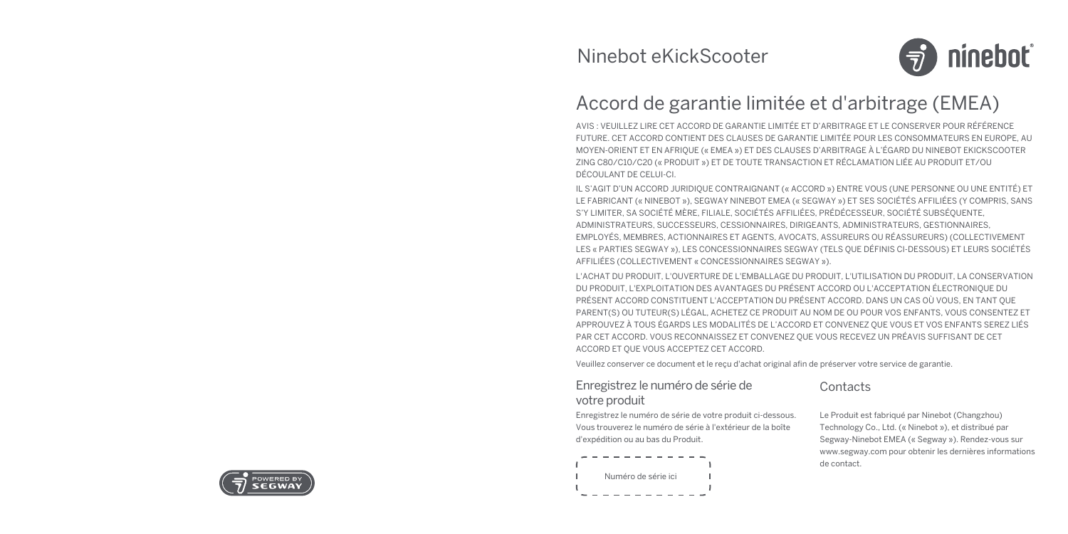

# Accord de garantie limitée et d'arbitrage (EMEA)

AVIS : VEUILLEZ LIRE CET ACCORD DE GARANTIE LIMITÉE ET D'ARBITRAGE ET LE CONSERVER POUR RÉFÉRENCE FUTURE. CET ACCORD CONTIENT DES CLAUSES DE GARANTIE LIMITÉE POUR LES CONSOMMATEURS EN EUROPE, AU MOYEN-ORIENT ET EN AFRIQUE (« EMEA ») ET DES CLAUSES D'ARBITRAGE À L'ÉGARD DU NINEBOT EKICKSCOOTER ZING C80/C10/C20 (« PRODUIT ») ET DE TOUTE TRANSACTION ET RÉCLAMATION LIÉE AU PRODUIT ET/OU DÉCOULANT DE CELUI-CI.

IL S'AGIT D'UN ACCORD JURIDIQUE CONTRAIGNANT (« ACCORD ») ENTRE VOUS (UNE PERSONNE OU UNE ENTITÉ) ET LE FABRICANT (« NINEBOT »), SEGWAY NINEBOT EMEA (« SEGWAY ») ET SES SOCIÉTÉS AFFILIÉES (Y COMPRIS, SANS S'Y LIMITER, SA SOCIÉTÉ MÈRE, FILIALE, SOCIÉTÉS AFFILIÉES, PRÉDÉCESSEUR, SOCIÉTÉ SUBSÉQUENTE, ADMINISTRATEURS, SUCCESSEURS, CESSIONNAIRES, DIRIGEANTS, ADMINISTRATEURS, GESTIONNAIRES, EMPLOYÉS, MEMBRES, ACTIONNAIRES ET AGENTS, AVOCATS, ASSUREURS OU RÉASSUREURS) (COLLECTIVEMENT LES « PARTIES SEGWAY »), LES CONCESSIONNAIRES SEGWAY (TELS QUE DÉFINIS CI-DESSOUS) ET LEURS SOCIÉTÉS AFFILIÉES (COLLECTIVEMENT « CONCESSIONNAIRES SEGWAY »).

L'ACHAT DU PRODUIT, L'OUVERTURE DE L'EMBALLAGE DU PRODUIT, L'UTILISATION DU PRODUIT, LA CONSERVATION DU PRODUIT, L'EXPLOITATION DES AVANTAGES DU PRÉSENT ACCORD OU L'ACCEPTATION ÉLECTRONIQUE DU PRÉSENT ACCORD CONSTITUENT L'ACCEPTATION DU PRÉSENT ACCORD. DANS UN CAS OÙ VOUS, EN TANT QUE PARENT(S) OU TUTEUR(S) LÉGAL, ACHETEZ CE PRODUIT AU NOM DE OU POUR VOS ENFANTS, VOUS CONSENTEZ ET APPROUVEZ À TOUS ÉGARDS LES MODALITÉS DE L'ACCORD ET CONVENEZ QUE VOUS ET VOS ENFANTS SEREZ LIÉS PAR CET ACCORD. VOUS RECONNAISSEZ ET CONVENEZ QUE VOUS RECEVEZ UN PRÉAVIS SUFFISANT DE CET ACCORD ET QUE VOUS ACCEPTEZ CET ACCORD.

Veuillez conserver ce document et le reçu d'achat original afin de préserver votre service de garantie.

#### Enregistrez le numéro de série de votre produit

Enregistrez le numéro de série de votre produit ci-dessous. Vous trouverez le numéro de série à l'extérieur de la boîte d'expédition ou au bas du Produit.



## **Contacts**

Le Produit est fabriqué par Ninebot (Changzhou) Technology Co., Ltd. (« Ninebot »), et distribué par Segway-Ninebot EMEA (« Segway »). Rendez-vous sur www.segway.com pour obtenir les dernières informations de contact.

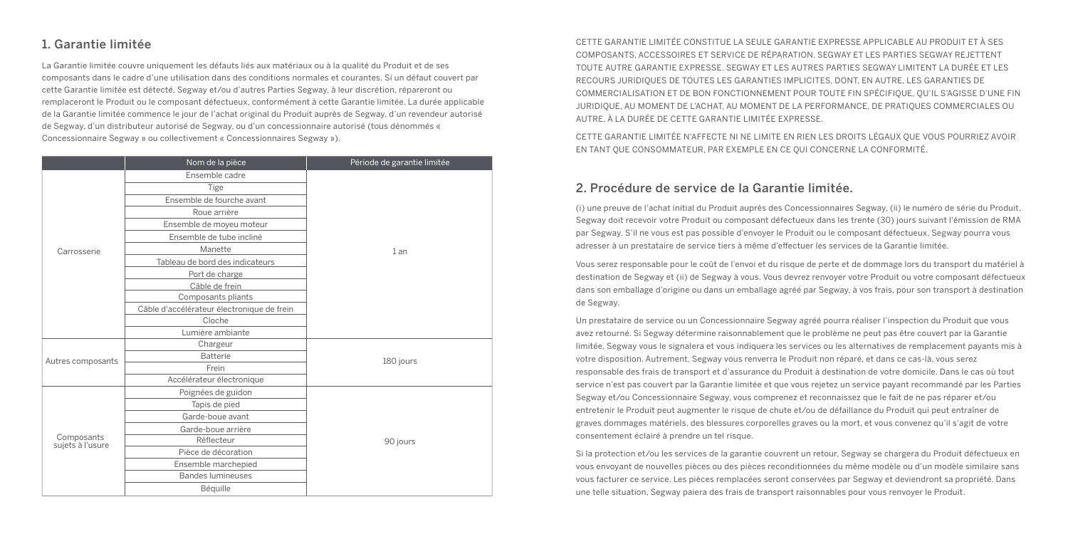## 1. Garantie limitée

La Garantie limitée couvre uniquement les défauts liés aux matériaux ou à la qualité du Produit et de ses composants dans le cadre d'une utilisation dans des conditions normales et courantes. Si un défaut couvert par cette Garantie limitée est détecté, Segway et/ou d'autres Parties Segway, à leur discrétion, répareront ou remplaceront le Produit ou le composant défectueux, conformément à cette Garantie limitée. La durée applicable de la Garantie limitée commence le jour de l'achat original du Produit auprès de Segway, d'un revendeur autorisé de Segway, d'un distributeur autorisé de Segway, ou d'un concessionnaire autorisé (tous dénommés « Concessionnaire Segway » ou collectivement « Concessionnaires Segway »).

|                                | Nom de la pièce                            | Période de garantie limitée |
|--------------------------------|--------------------------------------------|-----------------------------|
|                                | Ensemble cadre                             |                             |
|                                | Tige                                       |                             |
|                                | Ensemble de fourche avant                  |                             |
|                                | Roue arrière                               |                             |
|                                | Ensemble de moyeu moteur                   |                             |
|                                | Ensemble de tube incliné                   |                             |
| Carrosserie                    | Manette                                    | 1an                         |
|                                | Tableau de bord des indicateurs            |                             |
|                                | Port de charge                             |                             |
|                                | Câble de frein                             |                             |
|                                | Composants pliants                         |                             |
|                                | Câble d'accélérateur électronique de frein |                             |
|                                | Cloche                                     |                             |
|                                | Lumière ambiante                           |                             |
|                                | Chargeur                                   |                             |
| Autres composants              | <b>Batterie</b>                            | 180 jours                   |
|                                | Frein                                      |                             |
|                                | Accélérateur électronique                  |                             |
|                                | Poignées de guidon                         |                             |
| Composants<br>sujets à l'usure | Tapis de pied                              |                             |
|                                | Garde-boue avant                           |                             |
|                                | Garde-boue arrière                         | 90 jours                    |
|                                | Réflecteur                                 |                             |
|                                | Pièce de décoration                        |                             |
|                                | Ensemble marchepied                        |                             |
|                                | <b>Bandes lumineuses</b>                   |                             |
|                                | Béquille                                   |                             |

CETTE GARANTIE LIMITÉE CONSTITUE LA SEULE GARANTIE EXPRESSE APPLICABLE AU PRODUIT ET À SES COMPOSANTS, ACCESSOIRES ET SERVICE DE RÉPARATION. SEGWAY ET LES PARTIES SEGWAY REJETTENT TOUTE AUTRE GARANTIE EXPRESSE. SEGWAY ET LES AUTRES PARTIES SEGWAY LIMITENT LA DURÉE ET LES RECOURS JURIDIQUES DE TOUTES LES GARANTIES IMPLICITES, DONT, EN AUTRE, LES GARANTIES DE COMMERCIALISATION ET DE BON FONCTIONNEMENT POUR TOUTE FIN SPÉCIFIQUE, QU'IL S'AGISSE D'UNE FIN JURIDIQUE, AU MOMENT DE L'ACHAT, AU MOMENT DE LA PERFORMANCE, DE PRATIQUES COMMERCIALES OU AUTRE, À LA DURÉE DE CETTE GARANTIE LIMITÉE EXPRESSE.

CETTE GARANTIE LIMITÉE N'AFFECTE NI NE LIMITE EN RIEN LES DROITS LÉGAUX QUE VOUS POURRIEZ AVOIR EN TANT QUE CONSOMMATEUR, PAR EXEMPLE EN CE QUI CONCERNE LA CONFORMITÉ.

#### 2. Procédure de service de la Garantie limitée.

(i) une preuve de l'achat initial du Produit auprès des Concessionnaires Segway, (ii) le numéro de série du Produit, Segway doit recevoir votre Produit ou composant défectueux dans les trente (30) jours suivant l'émission de RMA par Segway. S'il ne vous est pas possible d'envoyer le Produit ou le composant défectueux, Segway pourra vous adresser à un prestataire de service tiers à même d'effectuer les services de la Garantie limitée.

Vous serez responsable pour le coût de l'envoi et du risque de perte et de dommage lors du transport du matériel à destination de Segway et (ii) de Segway à vous. Vous devrez renvoyer votre Produit ou votre composant défectueux dans son emballage d'origine ou dans un emballage agréé par Segway, à vos frais, pour son transport à destination de Segway.

Un prestataire de service ou un Concessionnaire Segway agréé pourra réaliser l'inspection du Produit que vous avez retourné. Si Segway détermine raisonnablement que le problème ne peut pas être couvert par la Garantie limitée, Segway vous le signalera et vous indiquera les services ou les alternatives de remplacement payants mis à votre disposition. Autrement, Segway vous renverra le Produit non réparé, et dans ce cas-là, vous serez responsable des frais de transport et d'assurance du Produit à destination de votre domicile. Dans le cas où tout service n'est pas couvert par la Garantie limitée et que vous rejetez un service payant recommandé par les Parties Segway et/ou Concessionnaire Segway, vous comprenez et reconnaissez que le fait de ne pas réparer et/ou entretenir le Produit peut augmenter le risque de chute et/ou de défaillance du Produit qui peut entraîner de graves dommages matériels, des blessures corporelles graves ou la mort, et vous convenez qu'il s'agit de votre consentement éclairé à prendre un tel risque.

Si la protection et/ou les services de la garantie couvrent un retour, Segway se chargera du Produit défectueux en vous envoyant de nouvelles pièces ou des pièces reconditionnées du même modèle ou d'un modèle similaire sans vous facturer ce service. Les pièces remplacées seront conservées par Segway et deviendront sa propriété. Dans une telle situation, Segway paiera des frais de transport raisonnables pour vous renvoyer le Produit.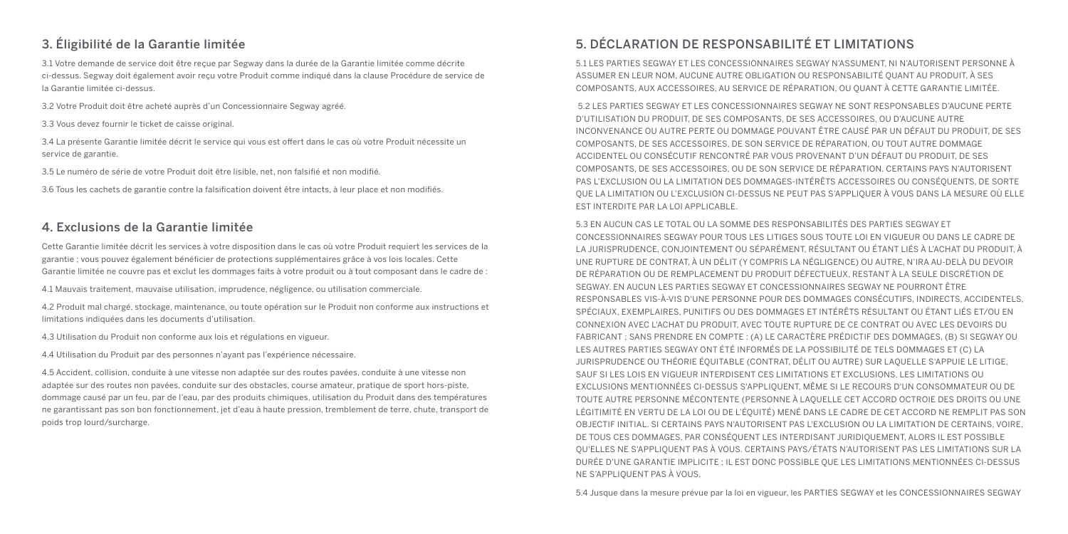## 3. Éligibilité de la Garantie limitée

3.1 Votre demande de service doit être reçue par Segway dans la durée de la Garantie limitée comme décrite ci-dessus. Segway doit également avoir reçu votre Produit comme indiqué dans la clause Procédure de service de la Garantie limitée ci-dessus.

3.2 Votre Produit doit être acheté auprès d'un Concessionnaire Segway agréé.

3.3 Vous devez fournir le ticket de caisse original.

3.4 La présente Garantie limitée décrit le service qui vous est offert dans le cas où votre Produit nécessite un service de garantie.

3.5 Le numéro de série de votre Produit doit être lisible, net, non falsifié et non modifié.

3.6 Tous les cachets de garantie contre la falsification doivent être intacts, à leur place et non modifiés.

#### 4. Exclusions de la Garantie limitée

Cette Garantie limitée décrit les services à votre disposition dans le cas où votre Produit requiert les services de la garantie ; vous pouvez également bénéficier de protections supplémentaires grâce à vos lois locales. Cette Garantie limitée ne couvre pas et exclut les dommages faits à votre produit ou à tout composant dans le cadre de :

4.1 Mauvais traitement, mauvaise utilisation, imprudence, négligence, ou utilisation commerciale.

4.2 Produit mal chargé, stockage, maintenance, ou toute opération sur le Produit non conforme aux instructions et limitations indiquées dans les documents d'utilisation.

4.3 Utilisation du Produit non conforme aux lois et régulations en vigueur.

4.4 Utilisation du Produit par des personnes n'ayant pas l'expérience nécessaire.

4.5 Accident, collision, conduite à une vitesse non adaptée sur des routes pavées, conduite à une vitesse non adaptée sur des routes non pavées, conduite sur des obstacles, course amateur, pratique de sport hors-piste, dommage causé par un feu, par de l'eau, par des produits chimiques, utilisation du Produit dans des températures ne garantissant pas son bon fonctionnement, jet d'eau à haute pression, tremblement de terre, chute, transport de poids trop lourd/surcharge.

## 5. DÉCLARATION DE RESPONSABILITÉ ET LIMITATIONS

5.1 LES PARTIES SEGWAY ET LES CONCESSIONNAIRES SEGWAY N'ASSUMENT, NI N'AUTORISENT PERSONNE À ASSUMER EN LEUR NOM, AUCUNE AUTRE OBLIGATION OU RESPONSABILITÉ QUANT AU PRODUIT, À SES COMPOSANTS, AUX ACCESSOIRES, AU SERVICE DE RÉPARATION, OU QUANT À CETTE GARANTIE LIMITÉE.

5.2 LES PARTIES SEGWAY ET LES CONCESSIONNAIRES SEGWAY NE SONT RESPONSABLES D'AUCUNE PERTE D'UTILISATION DU PRODUIT, DE SES COMPOSANTS, DE SES ACCESSOIRES, OU D'AUCUNE AUTRE INCONVENANCE OU AUTRE PERTE OU DOMMAGE POUVANT ÊTRE CAUSÉ PAR UN DÉFAUT DU PRODUIT, DE SES COMPOSANTS, DE SES ACCESSOIRES, DE SON SERVICE DE RÉPARATION, OU TOUT AUTRE DOMMAGE ACCIDENTEL OU CONSÉCUTIF RENCONTRÉ PAR VOUS PROVENANT D'UN DÉFAUT DU PRODUIT, DE SES COMPOSANTS, DE SES ACCESSOIRES, OU DE SON SERVICE DE RÉPARATION. CERTAINS PAYS N'AUTORISENT PAS L'EXCLUSION OU LA LIMITATION DES DOMMAGES-INTÉRÊTS ACCESSOIRES OU CONSÉQUENTS, DE SORTE QUE LA LIMITATION OU L'EXCLUSION CI-DESSUS NE PEUT PAS S'APPLIQUER À VOUS DANS LA MESURE OÙ ELLE EST INTERDITE PAR LA LOI APPLICABLE.

5.3 EN AUCUN CAS LE TOTAL OU LA SOMME DES RESPONSABILITÉS DES PARTIES SEGWAY ET CONCESSIONNAIRES SEGWAY POUR TOUS LES LITIGES SOUS TOUTE LOI EN VIGUEUR OU DANS LE CADRE DE LA JURISPRUDENCE, CONJOINTEMENT OU SÉPARÉMENT, RÉSULTANT OU ÉTANT LIÉS À L'ACHAT DU PRODUIT, À UNE RUPTURE DE CONTRAT, À UN DÉLIT (Y COMPRIS LA NÉGLIGENCE) OU AUTRE, N'IRA AU-DELÀ DU DEVOIR DE RÉPARATION OU DE REMPLACEMENT DU PRODUIT DÉFECTUEUX, RESTANT À LA SEULE DISCRÉTION DE SEGWAY. EN AUCUN LES PARTIES SEGWAY ET CONCESSIONNAIRES SEGWAY NE POURRONT ÊTRE RESPONSABLES VIS-À-VIS D'UNE PERSONNE POUR DES DOMMAGES CONSÉCUTIFS, INDIRECTS, ACCIDENTELS, SPÉCIAUX, EXEMPLAIRES, PUNITIFS OU DES DOMMAGES ET INTÉRÊTS RÉSULTANT OU ÉTANT LIÉS ET/OU EN CONNEXION AVEC L'ACHAT DU PRODUIT, AVEC TOUTE RUPTURE DE CE CONTRAT OU AVEC LES DEVOIRS DU FABRICANT ; SANS PRENDRE EN COMPTE : (A) LE CARACTÈRE PRÉDICTIF DES DOMMAGES, (B) SI SEGWAY OU LES AUTRES PARTIES SEGWAY ONT ÉTÉ INFORMÉS DE LA POSSIBILITÉ DE TELS DOMMAGES ET (C) LA JURISPRUDENCE OU THÉORIE ÉQUITABLE (CONTRAT, DÉLIT OU AUTRE) SUR LAQUELLE S'APPUIE LE LITIGE, SAUF SI LES LOIS EN VIGUEUR INTERDISENT CES LIMITATIONS ET EXCLUSIONS. LES LIMITATIONS OU EXCLUSIONS MENTIONNÉES CI-DESSUS S'APPLIQUENT, MÊME SI LE RECOURS D'UN CONSOMMATEUR OU DE TOUTE AUTRE PERSONNE MÉCONTENTE (PERSONNE À LAQUELLE CET ACCORD OCTROIE DES DROITS OU UNE LÉGITIMITÉ EN VERTU DE LA LOI OU DE L'ÉQUITÉ) MENÉ DANS LE CADRE DE CET ACCORD NE REMPLIT PAS SON OBJECTIF INITIAL. SI CERTAINS PAYS N'AUTORISENT PAS L'EXCLUSION OU LA LIMITATION DE CERTAINS, VOIRE, DE TOUS CES DOMMAGES, PAR CONSÉQUENT LES INTERDISANT JURIDIQUEMENT, ALORS IL EST POSSIBLE QU'ELLES NE S'APPLIQUENT PAS À VOUS. CERTAINS PAYS/ÉTATS N'AUTORISENT PAS LES LIMITATIONS SUR LA DURÉE D'UNE GARANTIE IMPLICITE ; IL EST DONC POSSIBLE QUE LES LIMITATIONS MENTIONNÉES CI-DESSUS NE S'APPLIQUENT PAS À VOUS.

5.4 Jusque dans la mesure prévue par la loi en vigueur, les PARTIES SEGWAY et les CONCESSIONNAIRES SEGWAY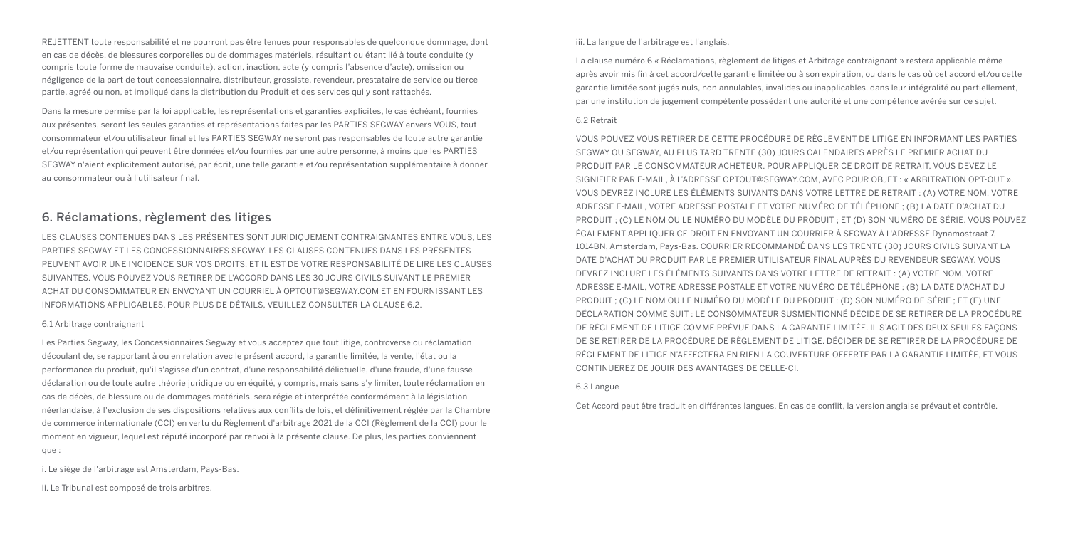REJETTENT toute responsabilité et ne pourront pas être tenues pour responsables de quelconque dommage, dont en cas de décès, de blessures corporelles ou de dommages matériels, résultant ou étant lié à toute conduite (y compris toute forme de mauvaise conduite), action, inaction, acte (y compris l'absence d'acte), omission ou négligence de la part de tout concessionnaire, distributeur, grossiste, revendeur, prestataire de service ou tierce partie, agréé ou non, et impliqué dans la distribution du Produit et des services qui y sont rattachés.

Dans la mesure permise par la loi applicable, les représentations et garanties explicites, le cas échéant, fournies aux présentes, seront les seules garanties et représentations faites par les PARTIES SEGWAY envers VOUS, tout consommateur et/ou utilisateur final et les PARTIES SEGWAY ne seront pas responsables de toute autre garantie et/ou représentation qui peuvent être données et/ou fournies par une autre personne, à moins que les PARTIES SEGWAY n'aient explicitement autorisé, par écrit, une telle garantie et/ou représentation supplémentaire à donner au consommateur ou à l'utilisateur final.

### 6. Réclamations, règlement des litiges

LES CLAUSES CONTENUES DANS LES PRÉSENTES SONT JURIDIQUEMENT CONTRAIGNANTES ENTRE VOUS, LES PARTIES SEGWAY ET LES CONCESSIONNAIRES SEGWAY. LES CLAUSES CONTENUES DANS LES PRÉSENTES PEUVENT AVOIR UNE INCIDENCE SUR VOS DROITS, ET IL EST DE VOTRE RESPONSABILITÉ DE LIRE LES CLAUSES SUIVANTES. VOUS POUVEZ VOUS RETIRER DE L'ACCORD DANS LES 30 JOURS CIVILS SUIVANT LE PREMIER ACHAT DU CONSOMMATEUR EN ENVOYANT UN COURRIEL À OPTOUT@SEGWAY.COM ET EN FOURNISSANT LES INFORMATIONS APPLICABLES. POUR PLUS DE DÉTAILS, VEUILLEZ CONSULTER LA CLAUSE 6.2.

#### 6.1 Arbitrage contraignant

Les Parties Segway, les Concessionnaires Segway et vous acceptez que tout litige, controverse ou réclamation découlant de, se rapportant à ou en relation avec le présent accord, la garantie limitée, la vente, l'état ou la performance du produit, qu'il s'agisse d'un contrat, d'une responsabilité délictuelle, d'une fraude, d'une fausse déclaration ou de toute autre théorie juridique ou en équité, y compris, mais sans s'y limiter, toute réclamation en cas de décès, de blessure ou de dommages matériels, sera régie et interprétée conformément à la législation néerlandaise, à l'exclusion de ses dispositions relatives aux conflits de lois, et définitivement réglée par la Chambre de commerce internationale (CCI) en vertu du Règlement d'arbitrage 2021 de la CCI (Règlement de la CCI) pour le moment en vigueur, lequel est réputé incorporé par renvoi à la présente clause. De plus, les parties conviennent que :

i. Le siège de l'arbitrage est Amsterdam, Pays-Bas.

ii. Le Tribunal est composé de trois arbitres.

#### iii. La langue de l'arbitrage est l'anglais.

La clause numéro 6 « Réclamations, règlement de litiges et Arbitrage contraignant » restera applicable même après avoir mis fin à cet accord/cette garantie limitée ou à son expiration, ou dans le cas où cet accord et/ou cette garantie limitée sont jugés nuls, non annulables, invalides ou inapplicables, dans leur intégralité ou partiellement, par une institution de jugement compétente possédant une autorité et une compétence avérée sur ce sujet.

#### 6.2 Retrait

VOUS POUVEZ VOUS RETIRER DE CETTE PROCÉDURE DE RÈGLEMENT DE LITIGE EN INFORMANT LES PARTIES SEGWAY OU SEGWAY, AU PLUS TARD TRENTE (30) JOURS CALENDAIRES APRÈS LE PREMIER ACHAT DU PRODUIT PAR LE CONSOMMATEUR ACHETEUR. POUR APPLIQUER CE DROIT DE RETRAIT, VOUS DEVEZ LE SIGNIFIER PAR E-MAIL, À L'ADRESSE OPTOUT@SEGWAY.COM, AVEC POUR OBJET : « ARBITRATION OPT-OUT ». VOUS DEVREZ INCLURE LES ÉLÉMENTS SUIVANTS DANS VOTRE LETTRE DE RETRAIT : (A) VOTRE NOM, VOTRE ADRESSE E-MAIL, VOTRE ADRESSE POSTALE ET VOTRE NUMÉRO DE TÉLÉPHONE ; (B) LA DATE D'ACHAT DU PRODUIT ; (C) LE NOM OU LE NUMÉRO DU MODÈLE DU PRODUIT ; ET (D) SON NUMÉRO DE SÉRIE. VOUS POUVEZ ÉGALEMENT APPLIQUER CE DROIT EN ENVOYANT UN COURRIER À SEGWAY À L'ADRESSE Dynamostraat 7, 1014BN, Amsterdam, Pays-Bas. COURRIER RECOMMANDÉ DANS LES TRENTE (30) JOURS CIVILS SUIVANT LA DATE D'ACHAT DU PRODUIT PAR LE PREMIER UTILISATEUR FINAL AUPRÈS DU REVENDEUR SEGWAY. VOUS DEVREZ INCLURE LES ÉLÉMENTS SUIVANTS DANS VOTRE LETTRE DE RETRAIT : (A) VOTRE NOM, VOTRE ADRESSE E-MAIL, VOTRE ADRESSE POSTALE ET VOTRE NUMÉRO DE TÉLÉPHONE ; (B) LA DATE D'ACHAT DU PRODUIT ; (C) LE NOM OU LE NUMÉRO DU MODÈLE DU PRODUIT ; (D) SON NUMÉRO DE SÉRIE ; ET (E) UNE DÉCLARATION COMME SUIT : LE CONSOMMATEUR SUSMENTIONNÉ DÉCIDE DE SE RETIRER DE LA PROCÉDURE DE RÈGLEMENT DE LITIGE COMME PRÉVUE DANS LA GARANTIE LIMITÉE. IL S'AGIT DES DEUX SEULES FAÇONS DE SE RETIRER DE LA PROCÉDURE DE RÈGLEMENT DE LITIGE. DÉCIDER DE SE RETIRER DE LA PROCÉDURE DE RÈGLEMENT DE LITIGE N'AFFECTERA EN RIEN LA COUVERTURE OFFERTE PAR LA GARANTIE LIMITÉE, ET VOUS CONTINUEREZ DE JOUIR DES AVANTAGES DE CELLE-CI.

#### 6.3 Langue

Cet Accord peut être traduit en différentes langues. En cas de conflit, la version anglaise prévaut et contrôle.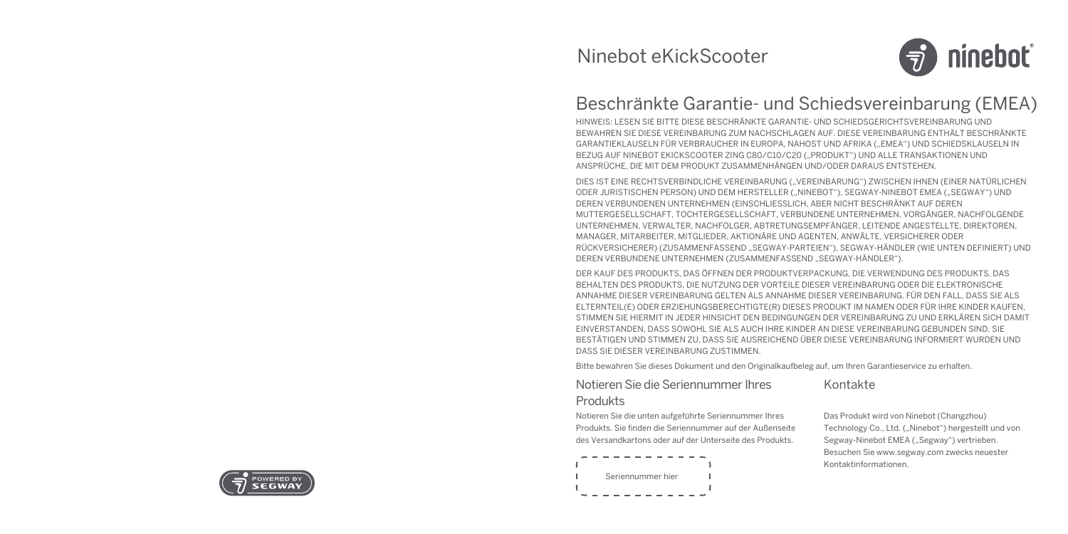

## Beschränkte Garantie- und Schiedsvereinbarung (EMEA)

HINWEIS: LESEN SIE BITTE DIESE BESCHRÄNKTE GARANTIE- UND SCHIEDSGERICHTSVEREINBARUNG UND BEWAHREN SIE DIESE VEREINBARUNG ZUM NACHSCHLAGEN AUF. DIESE VEREINBARUNG ENTHÄLT BESCHRÄNKTE GARANTIEKLAUSELN FÜR VERBRAUCHER IN EUROPA, NAHOST UND AFRIKA ("EMEA") UND SCHIEDSKLAUSELN IN BEZUG AUF NINEBOT EKICKSCOOTER ZING C80/C10/C20 ("PRODUKT") UND ALLE TRANSAKTIONEN UND ANSPRÜCHE, DIE MIT DEM PRODUKT ZUSAMMENHÄNGEN UND/ODER DARAUS ENTSTEHEN.

DIES IST EINE RECHTSVERBINDLICHE VEREINBARUNG ("VEREINBARUNG") ZWISCHEN IHNEN (EINER NATÜRLICHEN ODER JURISTISCHEN PERSON) UND DEM HERSTELLER ("NINEBOT"), SEGWAY-NINEBOT EMEA ("SEGWAY") UND DEREN VERBUNDENEN UNTERNEHMEN (EINSCHLIESSLICH, ABER NICHT BESCHRÄNKT AUF DEREN MUTTERGESELLSCHAFT, TOCHTERGESELLSCHAFT, VERBUNDENE UNTERNEHMEN, VORGÄNGER, NACHFOLGENDE UNTERNEHMEN, VERWALTER, NACHFOLGER, ABTRETUNGSEMPFÄNGER, LEITENDE ANGESTELLTE, DIREKTOREN, MANAGER, MITARBEITER, MITGLIEDER, AKTIONÄRE UND AGENTEN, ANWÄLTE, VERSICHERER ODER RÜCKVERSICHERER) (ZUSAMMENFASSEND "SEGWAY-PARTEIEN"), SEGWAY-HÄNDLER (WIE UNTEN DEFINIERT) UND DEREN VERBUNDENE UNTERNEHMEN (ZUSAMMENFASSEND "SEGWAY-HÄNDLER").

DER KAUF DES PRODUKTS, DAS ÖFFNEN DER PRODUKTVERPACKUNG, DIE VERWENDUNG DES PRODUKTS, DAS BEHALTEN DES PRODUKTS, DIE NUTZUNG DER VORTEILE DIESER VEREINBARUNG ODER DIE ELEKTRONISCHE ANNAHME DIESER VEREINBARUNG GELTEN ALS ANNAHME DIESER VEREINBARUNG. FÜR DEN FALL, DASS SIE ALS ELTERNTEIL(E) ODER ERZIEHUNGSBERECHTIGTE(R) DIESES PRODUKT IM NAMEN ODER FÜR IHRE KINDER KAUFEN, STIMMEN SIE HIERMIT IN JEDER HINSICHT DEN BEDINGUNGEN DER VEREINBARUNG ZU UND ERKLÄREN SICH DAMIT EINVERSTANDEN, DASS SOWOHL SIE ALS AUCH IHRE KINDER AN DIESE VEREINBARUNG GEBUNDEN SIND. SIE BESTÄTIGEN UND STIMMEN ZU, DASS SIE AUSREICHEND ÜBER DIESE VEREINBARUNG INFORMIERT WURDEN UND DASS SIE DIESER VEREINBARUNG ZUSTIMMEN.

Bitte bewahren Sie dieses Dokument und den Originalkaufbeleg auf, um Ihren Garantieservice zu erhalten.

#### Notieren Sie die Seriennummer Ihres Produkts

#### Kontakte

Notieren Sie die unten aufgeführte Seriennummer Ihres Produkts. Sie finden die Seriennummer auf der Außenseite des Versandkartons oder auf der Unterseite des Produkts.



Das Produkt wird von Ninebot (Changzhou) Technology Co., Ltd. ("Ninebot") hergestellt und von Segway-Ninebot EMEA ("Segway") vertrieben. Besuchen Sie www.segway.com zwecks neuester Kontaktinformationen.

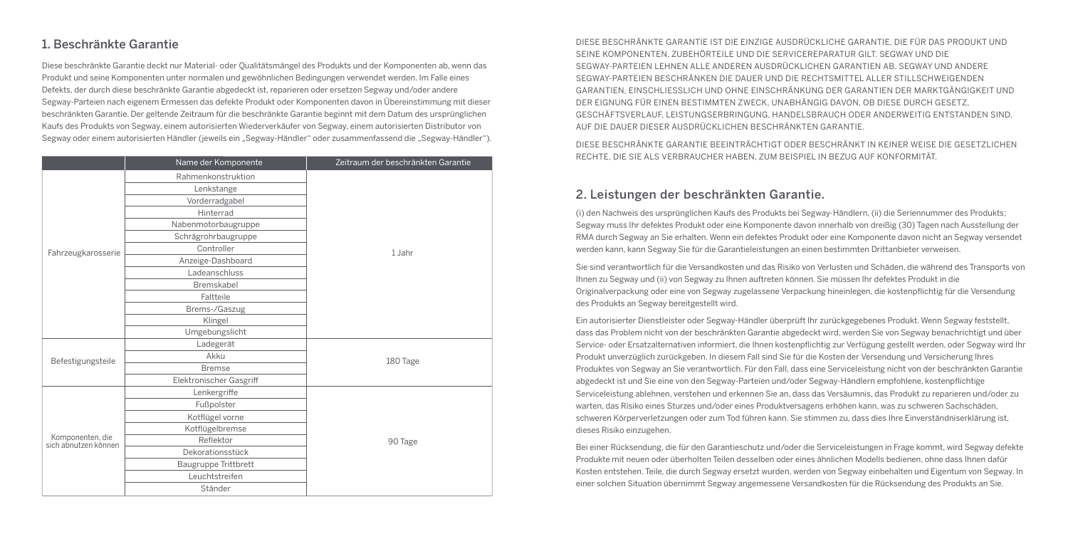## 1. Beschränkte Garantie

Diese beschränkte Garantie deckt nur Material- oder Qualitätsmängel des Produkts und der Komponenten ab, wenn das Produkt und seine Komponenten unter normalen und gewöhnlichen Bedingungen verwendet werden. Im Falle eines Defekts, der durch diese beschränkte Garantie abgedeckt ist, reparieren oder ersetzen Segway und/oder andere Segway-Parteien nach eigenem Ermessen das defekte Produkt oder Komponenten davon in Übereinstimmung mit dieser beschränkten Garantie. Der geltende Zeitraum für die beschränkte Garantie beginnt mit dem Datum des ursprünglichen Kaufs des Produkts von Segway, einem autorisierten Wiederverkäufer von Segway, einem autorisierten Distributor von Segway oder einem autorisierten Händler (jeweils ein "Segway-Händler" oder zusammenfassend die "Segway-Händler").

|                                          | Name der Komponente     | Zeitraum der beschränkten Garantie |
|------------------------------------------|-------------------------|------------------------------------|
|                                          | Rahmenkonstruktion      |                                    |
|                                          | Lenkstange              |                                    |
|                                          | Vorderradgabel          |                                    |
|                                          | Hinterrad               |                                    |
|                                          | Nabenmotorbaugruppe     |                                    |
|                                          | Schrägrohrbaugruppe     |                                    |
| Fahrzeugkarosserie                       | Controller              | 1 Jahr                             |
|                                          | Anzeige-Dashboard       |                                    |
|                                          | Ladeanschluss           |                                    |
|                                          | Bremskabel              |                                    |
|                                          | Faltteile               |                                    |
|                                          | Brems-/Gaszug           |                                    |
|                                          | Klingel                 |                                    |
|                                          | Umgebungslicht          |                                    |
|                                          | Ladegerät               | 180 Tage                           |
| Befestigungsteile                        | Akku                    |                                    |
|                                          | <b>Bremse</b>           |                                    |
|                                          | Elektronischer Gasgriff |                                    |
|                                          | Lenkergriffe            |                                    |
|                                          | Fußpolster              | 90 Tage                            |
| Komponenten, die<br>sich abnutzen können | Kotflügel vorne         |                                    |
|                                          | Kotflügelbremse         |                                    |
|                                          | Reflektor               |                                    |
|                                          | Dekorationsstück        |                                    |
|                                          | Baugruppe Trittbrett    |                                    |
|                                          | Leuchtstreifen          |                                    |
|                                          | Ständer                 |                                    |

DIESE BESCHRÄNKTE GARANTIE IST DIE EINZIGE AUSDRÜCKLICHE GARANTIE, DIE FÜR DAS PRODUKT UND SEINE KOMPONENTEN, ZUBEHÖRTEILE UND DIE SERVICEREPARATUR GILT. SEGWAY UND DIE SEGWAY-PARTEIEN LEHNEN ALLE ANDEREN AUSDRÜCKLICHEN GARANTIEN AB. SEGWAY UND ANDERE SEGWAY-PARTEIEN BESCHRÄNKEN DIE DAUER UND DIE RECHTSMITTEL ALLER STILLSCHWEIGENDEN GARANTIEN, EINSCHLIESSLICH UND OHNE EINSCHRÄNKUNG DER GARANTIEN DER MARKTGÄNGIGKEIT UND DER EIGNUNG FÜR EINEN BESTIMMTEN ZWECK, UNABHÄNGIG DAVON, OB DIESE DURCH GESETZ, GESCHÄFTSVERLAUF, LEISTUNGSERBRINGUNG, HANDELSBRAUCH ODER ANDERWEITIG ENTSTANDEN SIND, AUF DIE DAUER DIESER AUSDRÜCKLICHEN BESCHRÄNKTEN GARANTIE.

DIESE BESCHRÄNKTE GARANTIE BEEINTRÄCHTIGT ODER BESCHRÄNKT IN KEINER WEISE DIE GESETZLICHEN RECHTE, DIE SIE ALS VERBRAUCHER HABEN, ZUM BEISPIEL IN BEZUG AUF KONFORMITÄT.

#### 2. Leistungen der beschränkten Garantie.

(i) den Nachweis des ursprünglichen Kaufs des Produkts bei Segway-Händlern, (ii) die Seriennummer des Produkts; Segway muss Ihr defektes Produkt oder eine Komponente davon innerhalb von dreißig (30) Tagen nach Ausstellung der RMA durch Segway an Sie erhalten. Wenn ein defektes Produkt oder eine Komponente davon nicht an Segway versendet werden kann, kann Segway Sie für die Garantieleistungen an einen bestimmten Drittanbieter verweisen.

Sie sind verantwortlich für die Versandkosten und das Risiko von Verlusten und Schäden, die während des Transports von Ihnen zu Segway und (ii) von Segway zu Ihnen auftreten können. Sie müssen Ihr defektes Produkt in die Originalverpackung oder eine von Segway zugelassene Verpackung hineinlegen, die kostenpflichtig für die Versendung des Produkts an Segway bereitgestellt wird.

Ein autorisierter Dienstleister oder Segway-Händler überprüft Ihr zurückgegebenes Produkt. Wenn Segway feststellt, dass das Problem nicht von der beschränkten Garantie abgedeckt wird, werden Sie von Segway benachrichtigt und über Service- oder Ersatzalternativen informiert, die Ihnen kostenpflichtig zur Verfügung gestellt werden, oder Segway wird Ihr Produkt unverzüglich zurückgeben. In diesem Fall sind Sie für die Kosten der Versendung und Versicherung Ihres Produktes von Segway an Sie verantwortlich. Für den Fall, dass eine Serviceleistung nicht von der beschränkten Garantie abgedeckt ist und Sie eine von den Segway-Parteien und/oder Segway-Händlern empfohlene, kostenpflichtige Serviceleistung ablehnen, verstehen und erkennen Sie an, dass das Versäumnis, das Produkt zu reparieren und/oder zu warten, das Risiko eines Sturzes und/oder eines Produktversagens erhöhen kann, was zu schweren Sachschäden, schweren Körperverletzungen oder zum Tod führen kann. Sie stimmen zu, dass dies Ihre Einverständniserklärung ist, dieses Risiko einzugehen.

Bei einer Rücksendung, die für den Garantieschutz und/oder die Serviceleistungen in Frage kommt, wird Segway defekte Produkte mit neuen oder überholten Teilen desselben oder eines ähnlichen Modells bedienen, ohne dass Ihnen dafür Kosten entstehen. Teile, die durch Segway ersetzt wurden, werden von Segway einbehalten und Eigentum von Segway. In einer solchen Situation übernimmt Segway angemessene Versandkosten für die Rücksendung des Produkts an Sie.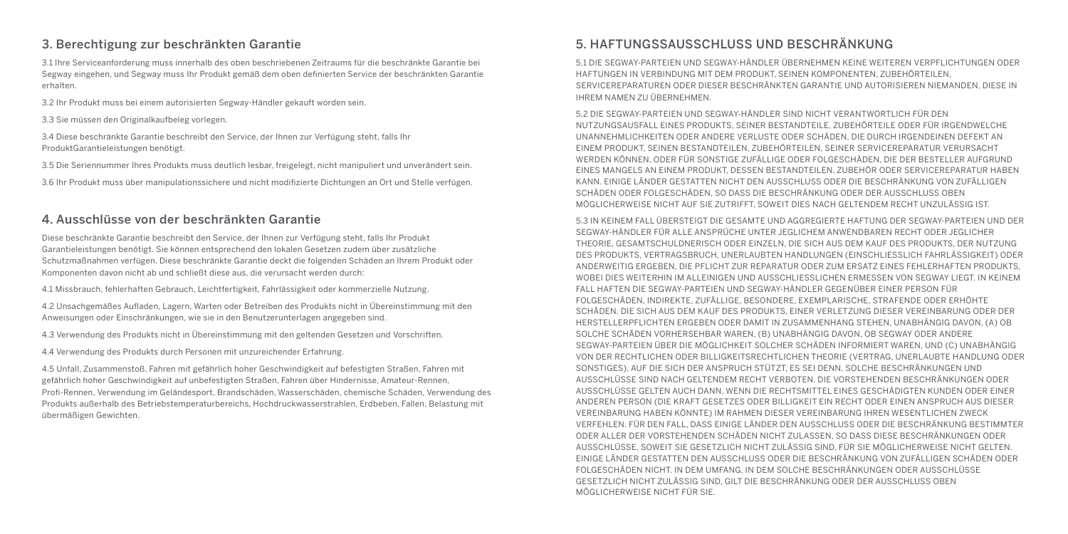## 3. Berechtigung zur beschränkten Garantie

3.1 Ihre Serviceanforderung muss innerhalb des oben beschriebenen Zeitraums für die beschränkte Garantie bei Segway eingehen, und Segway muss Ihr Produkt gemäß dem oben definierten Service der beschränkten Garantie erhalten.

3.2 Ihr Produkt muss bei einem autorisierten Segway-Händler gekauft worden sein.

3.3 Sie müssen den Originalkaufbeleg vorlegen.

3.4 Diese beschränkte Garantie beschreibt den Service, der Ihnen zur Verfügung steht, falls Ihr ProduktGarantieleistungen benötigt.

3.5 Die Seriennummer Ihres Produkts muss deutlich lesbar, freigelegt, nicht manipuliert und unverändert sein.

3.6 Ihr Produkt muss über manipulationssichere und nicht modifizierte Dichtungen an Ort und Stelle verfügen.

#### 4. Ausschlüsse von der beschränkten Garantie

Diese beschränkte Garantie beschreibt den Service, der Ihnen zur Verfügung steht, falls Ihr Produkt Garantieleistungen benötigt. Sie können entsprechend den lokalen Gesetzen zudem über zusätzliche Schutzmaßnahmen verfügen. Diese beschränkte Garantie deckt die folgenden Schäden an Ihrem Produkt oder Komponenten davon nicht ab und schließt diese aus, die verursacht werden durch:

4.1 Missbrauch, fehlerhaften Gebrauch, Leichtfertigkeit, Fahrlässigkeit oder kommerzielle Nutzung.

4.2 Unsachgemäßes Aufladen, Lagern, Warten oder Betreiben des Produkts nicht in Übereinstimmung mit den Anweisungen oder Einschränkungen, wie sie in den Benutzerunterlagen angegeben sind.

4.3 Verwendung des Produkts nicht in Übereinstimmung mit den geltenden Gesetzen und Vorschriften.

4.4 Verwendung des Produkts durch Personen mit unzureichender Erfahrung.

4.5 Unfall, Zusammenstoß, Fahren mit gefährlich hoher Geschwindigkeit auf befestigten Straßen, Fahren mit gefährlich hoher Geschwindigkeit auf unbefestigten Straßen, Fahren über Hindernisse, Amateur-Rennen, Profi-Rennen, Verwendung im Geländesport, Brandschäden, Wasserschäden, chemische Schäden, Verwendung des Produkts außerhalb des Betriebstemperaturbereichs, Hochdruckwasserstrahlen, Erdbeben, Fallen, Belastung mit übermäßigen Gewichten.

## 5. HAFTUNGSSAUSSCHLUSS UND BESCHRÄNKUNG

5.1 DIE SEGWAY-PARTEIEN UND SEGWAY-HÄNDLER ÜBERNEHMEN KEINE WEITEREN VERPFLICHTUNGEN ODER HAFTUNGEN IN VERBINDUNG MIT DEM PRODUKT, SEINEN KOMPONENTEN, ZUBEHÖRTEILEN, SERVICEREPARATUREN ODER DIESER BESCHRÄNKTEN GARANTIE UND AUTORISIEREN NIEMANDEN, DIESE IN IHREM NAMEN ZU ÜBERNEHMEN.

5.2 DIE SEGWAY-PARTEIEN UND SEGWAY-HÄNDLER SIND NICHT VERANTWORTLICH FÜR DEN NUTZUNGSAUSFALL EINES PRODUKTS, SEINER BESTANDTEILE, ZUBEHÖRTEILE ODER FÜR IRGENDWELCHE UNANNEHMLICHKEITEN ODER ANDERE VERLUSTE ODER SCHÄDEN, DIE DURCH IRGENDEINEN DEFEKT AN EINEM PRODUKT, SEINEN BESTANDTEILEN, ZUBEHÖRTEILEN, SEINER SERVICEREPARATUR VERURSACHT WERDEN KÖNNEN, ODER FÜR SONSTIGE ZUFÄLLIGE ODER FOLGESCHÄDEN, DIE DER BESTELLER AUFGRUND EINES MANGELS AN EINEM PRODUKT, DESSEN BESTANDTEILEN, ZUBEHÖR ODER SERVICEREPARATUR HABEN KANN. EINIGE LÄNDER GESTATTEN NICHT DEN AUSSCHLUSS ODER DIE BESCHRÄNKUNG VON ZUFÄLLIGEN SCHÄDEN ODER FOLGESCHÄDEN, SO DASS DIE BESCHRÄNKUNG ODER DER AUSSCHLUSS OBEN MÖGLICHERWEISE NICHT AUF SIE ZUTRIFFT, SOWEIT DIES NACH GELTENDEM RECHT UNZULÄSSIG IST.

5.3 IN KEINEM FALL ÜBERSTEIGT DIE GESAMTE UND AGGREGIERTE HAFTUNG DER SEGWAY-PARTEIEN UND DER SEGWAY-HÄNDLER FÜR ALLE ANSPRÜCHE UNTER JEGLICHEM ANWENDBAREN RECHT ODER JEGLICHER THEORIE, GESAMTSCHULDNERISCH ODER EINZELN, DIE SICH AUS DEM KAUF DES PRODUKTS, DER NUTZUNG DES PRODUKTS, VERTRAGSBRUCH, UNERLAUBTEN HANDLUNGEN (EINSCHLIESSLICH FAHRLÄSSIGKEIT) ODER ANDERWEITIG ERGEBEN, DIE PFLICHT ZUR REPARATUR ODER ZUM ERSATZ EINES FEHLERHAFTEN PRODUKTS, WOBEI DIES WEITERHIN IM ALLEINIGEN UND AUSSCHLIESSLICHEN ERMESSEN VON SEGWAY LIEGT. IN KEINEM FALL HAFTEN DIE SEGWAY-PARTEIEN UND SEGWAY-HÄNDLER GEGENÜBER EINER PERSON FÜR FOLGESCHÄDEN, INDIREKTE, ZUFÄLLIGE, BESONDERE, EXEMPLARISCHE, STRAFENDE ODER ERHÖHTE SCHÄDEN, DIE SICH AUS DEM KAUF DES PRODUKTS, EINER VERLETZUNG DIESER VEREINBARUNG ODER DER HERSTELLERPFLICHTEN ERGEBEN ODER DAMIT IN ZUSAMMENHANG STEHEN, UNABHÄNGIG DAVON, (A) OB SOLCHE SCHÄDEN VORHERSEHBAR WAREN, (B) UNABHÄNGIG DAVON, OB SEGWAY ODER ANDERE SEGWAY-PARTEIEN ÜBER DIE MÖGLICHKEIT SOLCHER SCHÄDEN INFORMIERT WAREN, UND (C) UNABHÄNGIG VON DER RECHTLICHEN ODER BILLIGKEITSRECHTLICHEN THEORIE (VERTRAG, UNERLAUBTE HANDLUNG ODER SONSTIGES), AUF DIE SICH DER ANSPRUCH STÜTZT, ES SEI DENN, SOLCHE BESCHRÄNKUNGEN UND AUSSCHLÜSSE SIND NACH GELTENDEM RECHT VERBOTEN. DIE VORSTEHENDEN BESCHRÄNKUNGEN ODER AUSSCHLÜSSE GELTEN AUCH DANN, WENN DIE RECHTSMITTEL EINES GESCHÄDIGTEN KUNDEN ODER EINER ANDEREN PERSON (DIE KRAFT GESETZES ODER BILLIGKEIT EIN RECHT ODER EINEN ANSPRUCH AUS DIESER VEREINBARUNG HABEN KÖNNTE) IM RAHMEN DIESER VEREINBARUNG IHREN WESENTLICHEN ZWECK VERFEHLEN. FÜR DEN FALL, DASS EINIGE LÄNDER DEN AUSSCHLUSS ODER DIE BESCHRÄNKUNG BESTIMMTER ODER ALLER DER VORSTEHENDEN SCHÄDEN NICHT ZULASSEN, SO DASS DIESE BESCHRÄNKUNGEN ODER AUSSCHLÜSSE, SOWEIT SIE GESETZLICH NICHT ZULÄSSIG SIND, FÜR SIE MÖGLICHERWEISE NICHT GELTEN. EINIGE LÄNDER GESTATTEN DEN AUSSCHLUSS ODER DIE BESCHRÄNKUNG VON ZUFÄLLIGEN SCHÄDEN ODER FOLGESCHÄDEN NICHT. IN DEM UMFANG, IN DEM SOLCHE BESCHRÄNKUNGEN ODER AUSSCHLÜSSE GESETZLICH NICHT ZULÄSSIG SIND, GILT DIE BESCHRÄNKUNG ODER DER AUSSCHLUSS OBEN MÖGLICHERWEISE NICHT FÜR SIE.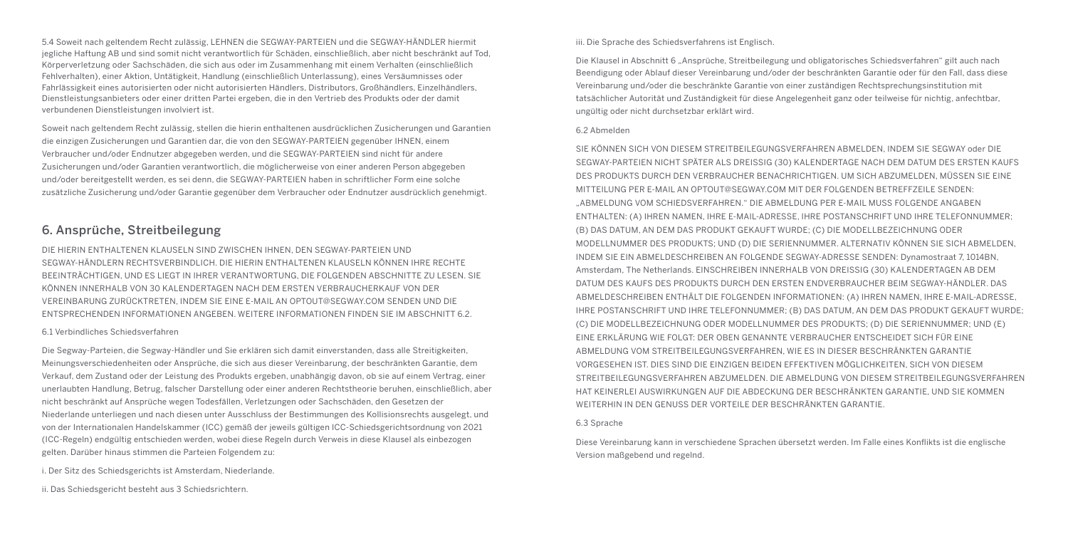5.4 Soweit nach geltendem Recht zulässig, LEHNEN die SEGWAY-PARTEIEN und die SEGWAY-HÄNDLER hiermit jegliche Haftung AB und sind somit nicht verantwortlich für Schäden, einschließlich, aber nicht beschränkt auf Tod, Körperverletzung oder Sachschäden, die sich aus oder im Zusammenhang mit einem Verhalten (einschließlich Fehlverhalten), einer Aktion, Untätigkeit, Handlung (einschließlich Unterlassung), eines Versäumnisses oder Fahrlässigkeit eines autorisierten oder nicht autorisierten Händlers, Distributors, Großhändlers, Einzelhändlers, Dienstleistungsanbieters oder einer dritten Partei ergeben, die in den Vertrieb des Produkts oder der damit verbundenen Dienstleistungen involviert ist.

Soweit nach geltendem Recht zulässig, stellen die hierin enthaltenen ausdrücklichen Zusicherungen und Garantien die einzigen Zusicherungen und Garantien dar, die von den SEGWAY-PARTEIEN gegenüber IHNEN, einem Verbraucher und/oder Endnutzer abgegeben werden, und die SEGWAY-PARTEIEN sind nicht für andere Zusicherungen und/oder Garantien verantwortlich, die möglicherweise von einer anderen Person abgegeben und/oder bereitgestellt werden, es sei denn, die SEGWAY-PARTEIEN haben in schriftlicher Form eine solche zusätzliche Zusicherung und/oder Garantie gegenüber dem Verbraucher oder Endnutzer ausdrücklich genehmigt.

## 6. Ansprüche, Streitbeilegung

DIE HIERIN ENTHALTENEN KLAUSELN SIND ZWISCHEN IHNEN, DEN SEGWAY-PARTEIEN UND SEGWAY-HÄNDLERN RECHTSVERBINDLICH. DIE HIERIN ENTHALTENEN KLAUSELN KÖNNEN IHRE RECHTE BEEINTRÄCHTIGEN, UND ES LIEGT IN IHRER VERANTWORTUNG, DIE FOLGENDEN ABSCHNITTE ZU LESEN. SIE KÖNNEN INNERHALB VON 30 KALENDERTAGEN NACH DEM ERSTEN VERBRAUCHERKAUF VON DER VEREINBARUNG ZURÜCKTRETEN, INDEM SIE EINE E-MAIL AN OPTOUT@SEGWAY.COM SENDEN UND DIE ENTSPRECHENDEN INFORMATIONEN ANGEBEN. WEITERE INFORMATIONEN FINDEN SIE IM ABSCHNITT 6.2.

#### 6.1 Verbindliches Schiedsverfahren

Die Segway-Parteien, die Segway-Händler und Sie erklären sich damit einverstanden, dass alle Streitigkeiten, Meinungsverschiedenheiten oder Ansprüche, die sich aus dieser Vereinbarung, der beschränkten Garantie, dem Verkauf, dem Zustand oder der Leistung des Produkts ergeben, unabhängig davon, ob sie auf einem Vertrag, einer unerlaubten Handlung, Betrug, falscher Darstellung oder einer anderen Rechtstheorie beruhen, einschließlich, aber nicht beschränkt auf Ansprüche wegen Todesfällen, Verletzungen oder Sachschäden, den Gesetzen der Niederlande unterliegen und nach diesen unter Ausschluss der Bestimmungen des Kollisionsrechts ausgelegt, und von der Internationalen Handelskammer (ICC) gemäß der jeweils gültigen ICC-Schiedsgerichtsordnung von 2021 (ICC-Regeln) endgültig entschieden werden, wobei diese Regeln durch Verweis in diese Klausel als einbezogen gelten. Darüber hinaus stimmen die Parteien Folgendem zu:

i. Der Sitz des Schiedsgerichts ist Amsterdam, Niederlande.

ii. Das Schiedsgericht besteht aus 3 Schiedsrichtern.

#### iii. Die Sprache des Schiedsverfahrens ist Englisch.

Die Klausel in Abschnitt 6 "Ansprüche, Streitbeilegung und obligatorisches Schiedsverfahren" gilt auch nach Beendigung oder Ablauf dieser Vereinbarung und/oder der beschränkten Garantie oder für den Fall, dass diese Vereinbarung und/oder die beschränkte Garantie von einer zuständigen Rechtsprechungsinstitution mit tatsächlicher Autorität und Zuständigkeit für diese Angelegenheit ganz oder teilweise für nichtig, anfechtbar, ungültig oder nicht durchsetzbar erklärt wird.

#### 6.2 Abmelden

SIE KÖNNEN SICH VON DIESEM STREITBEILEGUNGSVERFAHREN ABMELDEN, INDEM SIE SEGWAY oder DIE SEGWAY-PARTEIEN NICHT SPÄTER ALS DREISSIG (30) KALENDERTAGE NACH DEM DATUM DES ERSTEN KAUFS DES PRODUKTS DURCH DEN VERBRAUCHER BENACHRICHTIGEN. UM SICH ABZUMELDEN, MÜSSEN SIE EINE MITTEILUNG PER E-MAIL AN OPTOUT@SEGWAY.COM MIT DER FOLGENDEN BETREFFZEILE SENDEN: "ABMELDUNG VOM SCHIEDSVERFAHREN." DIE ABMELDUNG PER E-MAIL MUSS FOLGENDE ANGABEN ENTHALTEN: (A) IHREN NAMEN, IHRE E-MAIL-ADRESSE, IHRE POSTANSCHRIFT UND IHRE TELEFONNUMMER; (B) DAS DATUM, AN DEM DAS PRODUKT GEKAUFT WURDE; (C) DIE MODELLBEZEICHNUNG ODER MODELLNUMMER DES PRODUKTS; UND (D) DIE SERIENNUMMER. ALTERNATIV KÖNNEN SIE SICH ABMELDEN, INDEM SIE EIN ABMELDESCHREIBEN AN FOLGENDE SEGWAY-ADRESSE SENDEN: Dynamostraat 7, 1014BN, Amsterdam, The Netherlands. EINSCHREIBEN INNERHALB VON DREISSIG (30) KALENDERTAGEN AB DEM DATUM DES KAUFS DES PRODUKTS DURCH DEN ERSTEN ENDVERBRAUCHER BEIM SEGWAY-HÄNDLER. DAS ABMELDESCHREIBEN ENTHÄLT DIE FOLGENDEN INFORMATIONEN: (A) IHREN NAMEN, IHRE E-MAIL-ADRESSE, IHRE POSTANSCHRIFT UND IHRE TELEFONNUMMER; (B) DAS DATUM, AN DEM DAS PRODUKT GEKAUFT WURDE; (C) DIE MODELLBEZEICHNUNG ODER MODELLNUMMER DES PRODUKTS; (D) DIE SERIENNUMMER; UND (E) EINE ERKLÄRUNG WIE FOLGT: DER OBEN GENANNTE VERBRAUCHER ENTSCHEIDET SICH FÜR EINE ABMELDUNG VOM STREITBEILEGUNGSVERFAHREN, WIE ES IN DIESER BESCHRÄNKTEN GARANTIE VORGESEHEN IST. DIES SIND DIE EINZIGEN BEIDEN EFFEKTIVEN MÖGLICHKEITEN, SICH VON DIESEM STREITBEILEGUNGSVERFAHREN ABZUMELDEN. DIE ABMELDUNG VON DIESEM STREITBEILEGUNGSVERFAHREN HAT KEINERLEI AUSWIRKUNGEN AUF DIE ABDECKUNG DER BESCHRÄNKTEN GARANTIE, UND SIE KOMMEN WEITERHIN IN DEN GENUSS DER VORTEILE DER BESCHRÄNKTEN GARANTIE.

#### 6.3 Sprache

Diese Vereinbarung kann in verschiedene Sprachen übersetzt werden. Im Falle eines Konflikts ist die englische Version maßgebend und regelnd.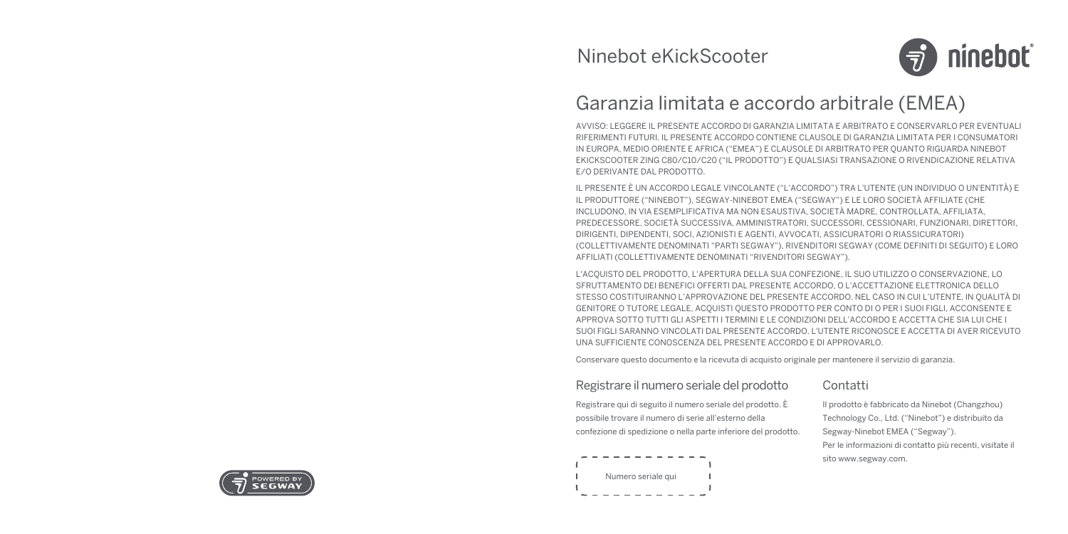

## Garanzia limitata e accordo arbitrale (EMEA)

AVVISO: LEGGERE IL PRESENTE ACCORDO DI GARANZIA LIMITATA E ARBITRATO E CONSERVARLO PER EVENTUALI RIFERIMENTI FUTURI. IL PRESENTE ACCORDO CONTIENE CLAUSOLE DI GARANZIA LIMITATA PER I CONSUMATORI IN EUROPA, MEDIO ORIENTE E AFRICA ("EMEA") E CLAUSOLE DI ARBITRATO PER QUANTO RIGUARDA NINEBOT EKICKSCOOTER ZING C80/C10/C20 ("IL PRODOTTO") E QUALSIASI TRANSAZIONE O RIVENDICAZIONE RELATIVA E/O DERIVANTE DAL PRODOTTO.

IL PRESENTE È UN ACCORDO LEGALE VINCOLANTE ("L'ACCORDO") TRA L'UTENTE (UN INDIVIDUO O UN'ENTITÀ) E IL PRODUTTORE ("NINEBOT"), SEGWAY-NINEBOT EMEA ("SEGWAY") E LE LORO SOCIETÀ AFFILIATE (CHE INCLUDONO, IN VIA ESEMPLIFICATIVA MA NON ESAUSTIVA, SOCIETÀ MADRE, CONTROLLATA, AFFILIATA, PREDECESSORE, SOCIETÀ SUCCESSIVA, AMMINISTRATORI, SUCCESSORI, CESSIONARI, FUNZIONARI, DIRETTORI, DIRIGENTI, DIPENDENTI, SOCI, AZIONISTI E AGENTI, AVVOCATI, ASSICURATORI O RIASSICURATORI) (COLLETTIVAMENTE DENOMINATI "PARTI SEGWAY"), RIVENDITORI SEGWAY (COME DEFINITI DI SEGUITO) E LORO AFFILIATI (COLLETTIVAMENTE DENOMINATI "RIVENDITORI SEGWAY").

L'ACQUISTO DEL PRODOTTO, L'APERTURA DELLA SUA CONFEZIONE, IL SUO UTILIZZO O CONSERVAZIONE, LO SFRUTTAMENTO DEI BENEFICI OFFERTI DAL PRESENTE ACCORDO, O L'ACCETTAZIONE ELETTRONICA DELLO STESSO COSTITUIRANNO L'APPROVAZIONE DEL PRESENTE ACCORDO. NEL CASO IN CUI L'UTENTE, IN QUALITÀ DI GENITORE O TUTORE LEGALE, ACQUISTI QUESTO PRODOTTO PER CONTO DI O PER I SUOI FIGLI, ACCONSENTE E APPROVA SOTTO TUTTI GLI ASPETTI I TERMINI E LE CONDIZIONI DELL'ACCORDO E ACCETTA CHE SIA LUI CHE I SUOI FIGLI SARANNO VINCOLATI DAL PRESENTE ACCORDO. L'UTENTE RICONOSCE E ACCETTA DI AVER RICEVUTO UNA SUFFICIENTE CONOSCENZA DEL PRESENTE ACCORDO E DI APPROVARLO.

Conservare questo documento e la ricevuta di acquisto originale per mantenere il servizio di garanzia.

#### Registrare il numero seriale del prodotto

Registrare qui di seguito il numero seriale del prodotto. È possibile trovare il numero di serie all'esterno della confezione di spedizione o nella parte inferiore del prodotto.

# Numero seriale qui

## Contatti

Il prodotto è fabbricato da Ninebot (Changzhou) Technology Co., Ltd. ("Ninebot") e distribuito da Segway-Ninebot EMEA ("Segway"). Per le informazioni di contatto più recenti, visitate il sito www.segway.com.

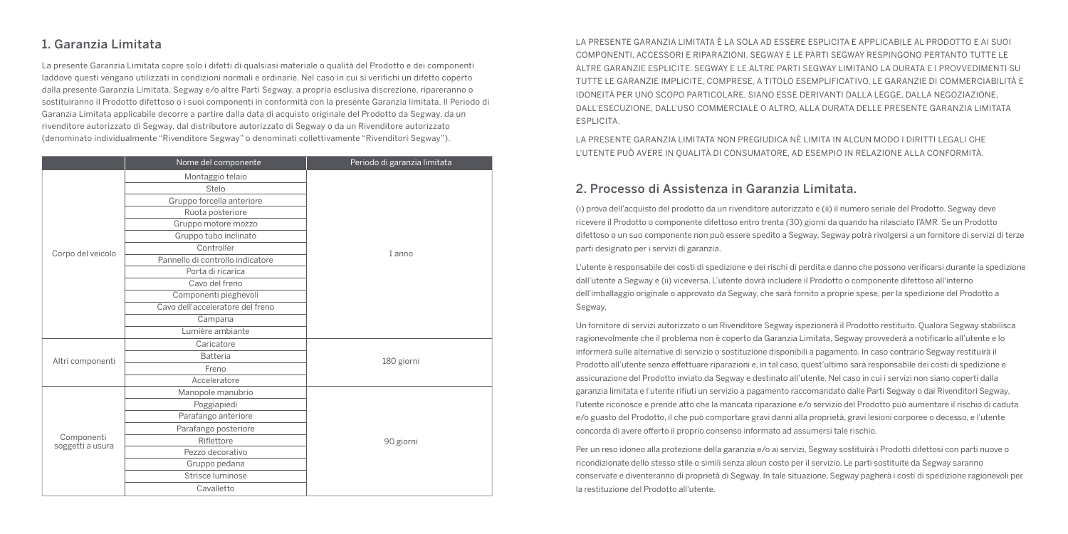## 1. Garanzia Limitata

La presente Garanzia Limitata copre solo i difetti di qualsiasi materiale o qualità del Prodotto e dei componenti laddove questi vengano utilizzati in condizioni normali e ordinarie. Nel caso in cui si verifichi un difetto coperto dalla presente Garanzia Limitata, Segway e/o altre Parti Segway, a propria esclusiva discrezione, ripareranno o sostituiranno il Prodotto difettoso o i suoi componenti in conformità con la presente Garanzia limitata. Il Periodo di Garanzia Limitata applicabile decorre a partire dalla data di acquisto originale del Prodotto da Segway, da un rivenditore autorizzato di Segway, dal distributore autorizzato di Segway o da un Rivenditore autorizzato (denominato individualmente "Rivenditore Segway" o denominati collettivamente "Rivenditori Segway").

|                                | Nome del componente              | Periodo di garanzia limitata |
|--------------------------------|----------------------------------|------------------------------|
|                                | Montaggio telaio                 |                              |
|                                | Stelo                            |                              |
|                                | Gruppo forcella anteriore        |                              |
|                                | Ruota posteriore                 |                              |
|                                | Gruppo motore mozzo              |                              |
|                                | Gruppo tubo inclinato            |                              |
| Corpo del veicolo              | Controller                       | 1 anno                       |
|                                | Pannello di controllo indicatore |                              |
|                                | Porta di ricarica                |                              |
|                                | Cavo del freno                   |                              |
|                                | Componenti pieghevoli            |                              |
|                                | Cavo dell'acceleratore del freno |                              |
|                                | Campana                          |                              |
|                                | Lumière ambiante                 |                              |
|                                | Caricatore                       | 180 giorni                   |
| Altri componenti               | Batteria                         |                              |
|                                | Freno                            |                              |
|                                | Acceleratore                     |                              |
|                                | Manopole manubrio                |                              |
| Componenti<br>soggetti a usura | Poggiapiedi                      |                              |
|                                | Parafango anteriore              | 90 giorni                    |
|                                | Parafango posteriore             |                              |
|                                | Riflettore                       |                              |
|                                | Pezzo decorativo                 |                              |
|                                | Gruppo pedana                    |                              |
|                                | Strisce luminose                 |                              |
|                                | Cavalletto                       |                              |

LA PRESENTE GARANZIA LIMITATA È LA SOLA AD ESSERE ESPLICITA E APPLICABILE AL PRODOTTO E AI SUOI COMPONENTI, ACCESSORI E RIPARAZIONI. SEGWAY E LE PARTI SEGWAY RESPINGONO PERTANTO TUTTE LE ALTRE GARANZIE ESPLICITE. SEGWAY E LE ALTRE PARTI SEGWAY LIMITANO LA DURATA E I PROVVEDIMENTI SU TUTTE LE GARANZIE IMPLICITE, COMPRESE, A TITOLO ESEMPLIFICATIVO, LE GARANZIE DI COMMERCIABILITÀ E IDONEITÀ PER UNO SCOPO PARTICOLARE, SIANO ESSE DERIVANTI DALLA LEGGE, DALLA NEGOZIAZIONE, DALL'ESECUZIONE, DALL'USO COMMERCIALE O ALTRO, ALLA DURATA DELLE PRESENTE GARANZIA LIMITATA ESPLICITA.

LA PRESENTE GARANZIA LIMITATA NON PREGIUDICA NÈ LIMITA IN ALCUN MODO I DIRITTI LEGALI CHE L'UTENTE PUÒ AVERE IN QUALITÀ DI CONSUMATORE, AD ESEMPIO IN RELAZIONE ALLA CONFORMITÀ.

#### 2. Processo di Assistenza in Garanzia Limitata.

(i) prova dell'acquisto del prodotto da un rivenditore autorizzato e (ii) il numero seriale del Prodotto. Segway deve ricevere il Prodotto o componente difettoso entro trenta (30) giorni da quando ha rilasciato l'AMR. Se un Prodotto difettoso o un suo componente non può essere spedito a Segway, Segway potrà rivolgersi a un fornitore di servizi di terze parti designato per i servizi di garanzia.

L'utente è responsabile dei costi di spedizione e dei rischi di perdita e danno che possono verificarsi durante la spedizione dall'utente a Segway e (ii) viceversa. L'utente dovrà includere il Prodotto o componente difettoso all'interno dell'imballaggio originale o approvato da Segway, che sarà fornito a proprie spese, per la spedizione del Prodotto a Segway.

Un fornitore di servizi autorizzato o un Rivenditore Segway ispezionerà il Prodotto restituito. Qualora Segway stabilisca ragionevolmente che il problema non è coperto da Garanzia Limitata, Segway provvederà a notificarlo all'utente e lo informerà sulle alternative di servizio o sostituzione disponibili a pagamento. In caso contrario Segway restituirà il Prodotto all'utente senza effettuare riparazioni e, in tal caso, quest'ultimo sarà responsabile dei costi di spedizione e assicurazione del Prodotto inviato da Segway e destinato all'utente. Nel caso in cui i servizi non siano coperti dalla garanzia limitata e l'utente rifiuti un servizio a pagamento raccomandato dalle Parti Segway o dai Rivenditori Segway, l'utente riconosce e prende atto che la mancata riparazione e/o servizio del Prodotto può aumentare il rischio di caduta e/o guasto del Prodotto, il che può comportare gravi danni alla proprietà, gravi lesioni corporee o decesso, e l'utente concorda di avere offerto il proprio consenso informato ad assumersi tale rischio.

Per un reso idoneo alla protezione della garanzia e/o ai servizi, Segway sostituirà i Prodotti difettosi con parti nuove o ricondizionate dello stesso stile o simili senza alcun costo per il servizio. Le parti sostituite da Segway saranno conservate e diventeranno di proprietà di Segway. In tale situazione, Segway pagherà i costi di spedizione ragionevoli per la restituzione del Prodotto all'utente.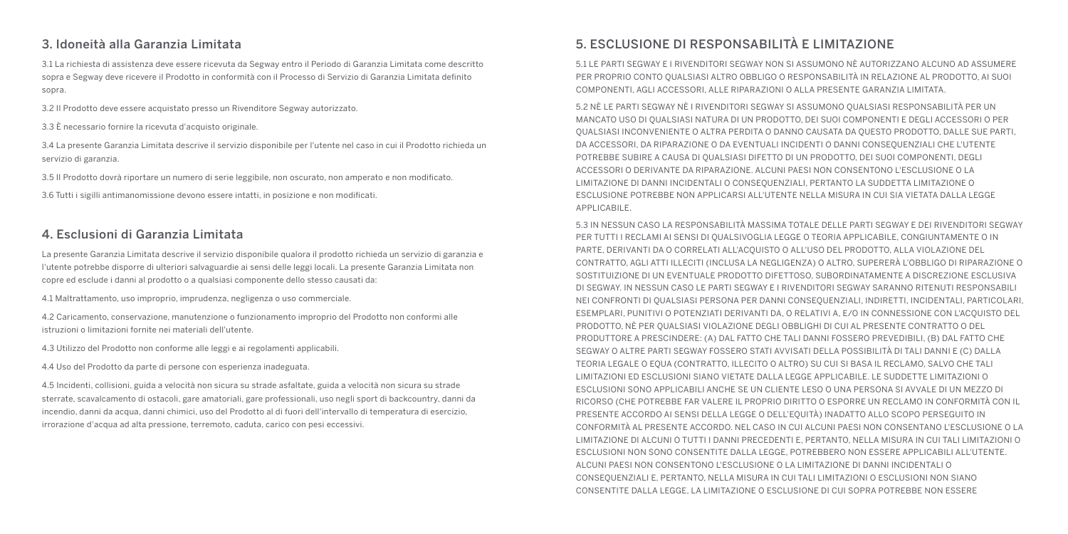#### 3. Idoneità alla Garanzia Limitata

3.1 La richiesta di assistenza deve essere ricevuta da Segway entro il Periodo di Garanzia Limitata come descritto sopra e Segway deve ricevere il Prodotto in conformità con il Processo di Servizio di Garanzia Limitata definito sopra.

3.2 Il Prodotto deve essere acquistato presso un Rivenditore Segway autorizzato.

3.3 È necessario fornire la ricevuta d'acquisto originale.

3.4 La presente Garanzia Limitata descrive il servizio disponibile per l'utente nel caso in cui il Prodotto richieda un servizio di garanzia.

3.5 Il Prodotto dovrà riportare un numero di serie leggibile, non oscurato, non amperato e non modificato.

3.6 Tutti i sigilli antimanomissione devono essere intatti, in posizione e non modificati.

#### 4. Esclusioni di Garanzia Limitata

La presente Garanzia Limitata descrive il servizio disponibile qualora il prodotto richieda un servizio di garanzia e l'utente potrebbe disporre di ulteriori salvaguardie ai sensi delle leggi locali. La presente Garanzia Limitata non copre ed esclude i danni al prodotto o a qualsiasi componente dello stesso causati da:

4.1 Maltrattamento, uso improprio, imprudenza, negligenza o uso commerciale.

4.2 Caricamento, conservazione, manutenzione o funzionamento improprio del Prodotto non conformi alle istruzioni o limitazioni fornite nei materiali dell'utente.

4.3 Utilizzo del Prodotto non conforme alle leggi e ai regolamenti applicabili.

4.4 Uso del Prodotto da parte di persone con esperienza inadeguata.

4.5 Incidenti, collisioni, guida a velocità non sicura su strade asfaltate, guida a velocità non sicura su strade sterrate, scavalcamento di ostacoli, gare amatoriali, gare professionali, uso negli sport di backcountry, danni da incendio, danni da acqua, danni chimici, uso del Prodotto al di fuori dell'intervallo di temperatura di esercizio, irrorazione d'acqua ad alta pressione, terremoto, caduta, carico con pesi eccessivi.

## 5. ESCLUSIONE DI RESPONSABILITÀ E LIMITAZIONE

5.1 LE PARTI SEGWAY E I RIVENDITORI SEGWAY NON SI ASSUMONO NÈ AUTORIZZANO ALCUNO AD ASSUMERE PER PROPRIO CONTO QUALSIASI ALTRO OBBLIGO O RESPONSABILITÀ IN RELAZIONE AL PRODOTTO, AI SUOI COMPONENTI, AGLI ACCESSORI, ALLE RIPARAZIONI O ALLA PRESENTE GARANZIA LIMITATA.

5.2 NÈ LE PARTI SEGWAY NÈ I RIVENDITORI SEGWAY SI ASSUMONO QUALSIASI RESPONSABILITÀ PER UN MANCATO USO DI QUALSIASI NATURA DI UN PRODOTTO, DEI SUOI COMPONENTI E DEGLI ACCESSORI O PER QUALSIASI INCONVENIENTE O ALTRA PERDITA O DANNO CAUSATA DA QUESTO PRODOTTO, DALLE SUE PARTI, DA ACCESSORI, DA RIPARAZIONE O DA EVENTUALI INCIDENTI O DANNI CONSEQUENZIALI CHE L'UTENTE POTREBBE SUBIRE A CAUSA DI QUALSIASI DIFETTO DI UN PRODOTTO, DEI SUOI COMPONENTI, DEGLI ACCESSORI O DERIVANTE DA RIPARAZIONE. ALCUNI PAESI NON CONSENTONO L'ESCLUSIONE O LA LIMITAZIONE DI DANNI INCIDENTALI O CONSEQUENZIALI, PERTANTO LA SUDDETTA LIMITAZIONE O ESCLUSIONE POTREBBE NON APPLICARSI ALL'UTENTE NELLA MISURA IN CUI SIA VIETATA DALLA LEGGE APPLICABILE.

5.3 IN NESSUN CASO LA RESPONSABILITÀ MASSIMA TOTALE DELLE PARTI SEGWAY E DEI RIVENDITORI SEGWAY PER TUTTI I RECLAMI AI SENSI DI QUALSIVOGLIA LEGGE O TEORIA APPLICABILE, CONGIUNTAMENTE O IN PARTE, DERIVANTI DA O CORRELATI ALL'ACQUISTO O ALL'USO DEL PRODOTTO, ALLA VIOLAZIONE DEL CONTRATTO, AGLI ATTI ILLECITI (INCLUSA LA NEGLIGENZA) O ALTRO, SUPERERÀ L'OBBLIGO DI RIPARAZIONE O SOSTITUIZIONE DI UN EVENTUALE PRODOTTO DIFETTOSO, SUBORDINATAMENTE A DISCREZIONE ESCLUSIVA DI SEGWAY. IN NESSUN CASO LE PARTI SEGWAY E I RIVENDITORI SEGWAY SARANNO RITENUTI RESPONSABILI NEI CONFRONTI DI QUALSIASI PERSONA PER DANNI CONSEQUENZIALI, INDIRETTI, INCIDENTALI, PARTICOLARI, ESEMPLARI, PUNITIVI O POTENZIATI DERIVANTI DA, O RELATIVI A, E/O IN CONNESSIONE CON L'ACQUISTO DEL PRODOTTO, NÈ PER QUALSIASI VIOLAZIONE DEGLI OBBLIGHI DI CUI AL PRESENTE CONTRATTO O DEL PRODUTTORE A PRESCINDERE: (A) DAL FATTO CHE TALI DANNI FOSSERO PREVEDIBILI, (B) DAL FATTO CHE SEGWAY O ALTRE PARTI SEGWAY FOSSERO STATI AVVISATI DELLA POSSIBILITÀ DI TALI DANNI E (C) DALLA TEORIA LEGALE O EQUA (CONTRATTO, ILLECITO O ALTRO) SU CUI SI BASA IL RECLAMO, SALVO CHE TALI LIMITAZIONI ED ESCLUSIONI SIANO VIETATE DALLA LEGGE APPLICABILE. LE SUDDETTE LIMITAZIONI O ESCLUSIONI SONO APPLICABILI ANCHE SE UN CLIENTE LESO O UNA PERSONA SI AVVALE DI UN MEZZO DI RICORSO (CHE POTREBBE FAR VALERE IL PROPRIO DIRITTO O ESPORRE UN RECLAMO IN CONFORMITÀ CON IL PRESENTE ACCORDO AI SENSI DELLA LEGGE O DELL'EQUITÀ) INADATTO ALLO SCOPO PERSEGUITO IN CONFORMITÀ AL PRESENTE ACCORDO. NEL CASO IN CUI ALCUNI PAESI NON CONSENTANO L'ESCLUSIONE O LA LIMITAZIONE DI ALCUNI O TUTTI I DANNI PRECEDENTI E, PERTANTO, NELLA MISURA IN CUI TALI LIMITAZIONI O ESCLUSIONI NON SONO CONSENTITE DALLA LEGGE, POTREBBERO NON ESSERE APPLICABILI ALL'UTENTE. ALCUNI PAESI NON CONSENTONO L'ESCLUSIONE O LA LIMITAZIONE DI DANNI INCIDENTALI O CONSEQUENZIALI E, PERTANTO, NELLA MISURA IN CUI TALI LIMITAZIONI O ESCLUSIONI NON SIANO CONSENTITE DALLA LEGGE, LA LIMITAZIONE O ESCLUSIONE DI CUI SOPRA POTREBBE NON ESSERE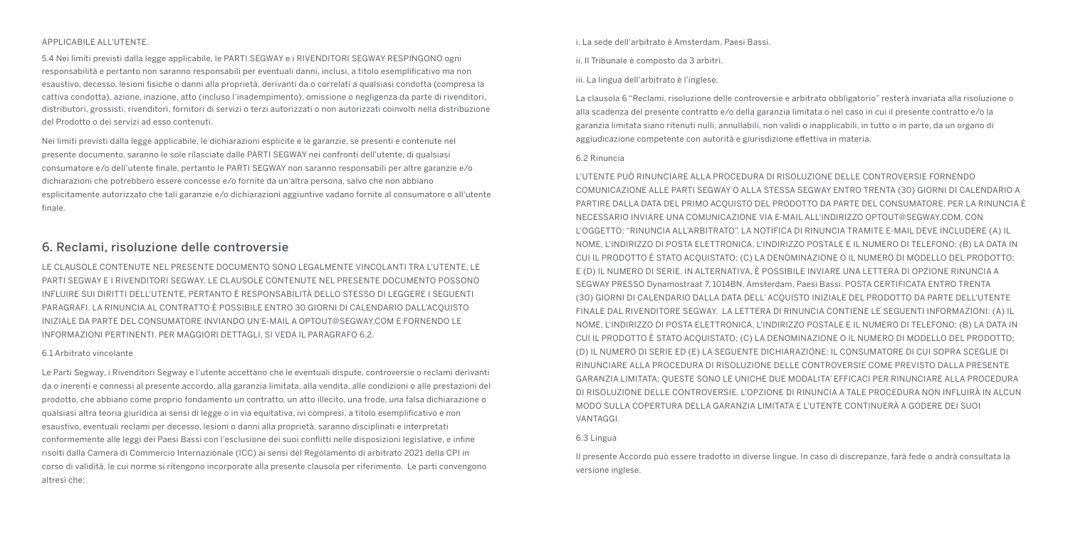#### APPLICABILE ALL'UTENTE.

5.4 Nei limiti previsti dalla legge applicabile, le PARTI SEGWAY e i RIVENDITORI SEGWAY RESPINGONO ogni responsabilità e pertanto non saranno responsabili per eventuali danni, inclusi, a titolo esemplificativo ma non esaustivo, decesso, lesioni fisiche o danni alla proprietà, derivanti da o correlati a qualsiasi condotta (compresa la cattiva condotta), azione, inazione, atto (incluso l'inadempimento), omissione o negligenza da parte di rivenditori, distributori, grossisti, rivenditori, fornitori di servizi o terzi autorizzati o non autorizzati coinvolti nella distribuzione del Prodotto o dei servizi ad esso contenuti.

Nei limiti previsti dalla legge applicabile, le dichiarazioni esplicite e le garanzie, se presenti e contenute nel presente documento, saranno le sole rilasciate dalle PARTI SEGWAY nei confronti dell'utente, di qualsiasi consumatore e/o dell'utente finale, pertanto le PARTI SEGWAY non saranno responsabili per altre garanzie e/o dichiarazioni che potrebbero essere concesse e/o fornite da un'altra persona, salvo che non abbiano esplicitamente autorizzato che tali garanzie e/o dichiarazioni aggiuntive vadano fornite al consumatore o all'utente finale.

#### 6. Reclami, risoluzione delle controversie

LE CLAUSOLE CONTENUTE NEL PRESENTE DOCUMENTO SONO LEGALMENTE VINCOLANTI TRA L'UTENTE, LE PARTI SEGWAY E I RIVENDITORI SEGWAY. LE CLAUSOLE CONTENUTE NEL PRESENTE DOCUMENTO POSSONO INFLUIRE SUI DIRITTI DELL'UTENTE, PERTANTO È RESPONSABILITÀ DELLO STESSO DI LEGGERE I SEGUENTI PARAGRAFI. LA RINUNCIA AL CONTRATTO È POSSIBILE ENTRO 30 GIORNI DI CALENDARIO DALL'ACQUISTO INIZIALE DA PARTE DEL CONSUMATORE INVIANDO UN'E-MAIL A OPTOUT@SEGWAY.COM E FORNENDO LE INFORMAZIONI PERTINENTI. PER MAGGIORI DETTAGLI, SI VEDA IL PARAGRAFO 6.2.

#### 6.1 Arbitrato vincolante

Le Parti Segway, i Rivenditori Segway e l'utente accettano che le eventuali dispute, controversie o reclami derivanti da o inerenti e connessi al presente accordo, alla garanzia limitata, alla vendita, alle condizioni o alle prestazioni del prodotto, che abbiano come proprio fondamento un contratto, un atto illecito, una frode, una falsa dichiarazione o qualsiasi altra teoria giuridica ai sensi di legge o in via equitativa, ivi compresi, a titolo esemplificativo e non esaustivo, eventuali reclami per decesso, lesioni o danni alla proprietà, saranno disciplinati e interpretati conformemente alle leggi dei Paesi Bassi con l'esclusione dei suoi conflitti nelle disposizioni legislative, e infine risolti dalla Camera di Commercio Internazionale (ICC) ai sensi del Regolamento di arbitrato 2021 della CPI in corso di validità, le cui norme si ritengono incorporate alla presente clausola per riferimento. Le parti convengono altresì che:

i. La sede dell'arbitrato è Amsterdam, Paesi Bassi.

- ii. Il Tribunale è composto da 3 arbitri.
- iii. La lingua dell'arbitrato è l'inglese.

La clausola 6 "Reclami, risoluzione delle controversie e arbitrato obbligatorio" resterà invariata alla risoluzione o alla scadenza del presente contratto e/o della garanzia limitata o nel caso in cui il presente contratto e/o la garanzia limitata siano ritenuti nulli, annullabili, non validi o inapplicabili, in tutto o in parte, da un organo di aggiudicazione competente con autorità e giurisdizione effettiva in materia.

#### 6.2 Rinuncia

L'UTENTE PUÒ RINUNCIARE ALLA PROCEDURA DI RISOLUZIONE DELLE CONTROVERSIE FORNENDO COMUNICAZIONE ALLE PARTI SEGWAY O ALLA STESSA SEGWAY ENTRO TRENTA (30) GIORNI DI CALENDARIO A PARTIRE DALLA DATA DEL PRIMO ACQUISTO DEL PRODOTTO DA PARTE DEL CONSUMATORE. PER LA RINUNCIA È NECESSARIO INVIARE UNA COMUNICAZIONE VIA E-MAIL ALL'INDIRIZZO OPTOUT@SEGWAY.COM, CON L'OGGETTO: "RINUNCIA ALL'ARBITRATO". LA NOTIFICA DI RINUNCIA TRAMITE E-MAIL DEVE INCLUDERE (A) IL NOME, L'INDIRIZZO DI POSTA ELETTRONICA, L'INDIRIZZO POSTALE E IL NUMERO DI TELEFONO; (B) LA DATA IN CUI IL PRODOTTO È STATO ACQUISTATO; (C) LA DENOMINAZIONE O IL NUMERO DI MODELLO DEL PRODOTTO; E (D) IL NUMERO DI SERIE. IN ALTERNATIVA, È POSSIBILE INVIARE UNA LETTERA DI OPZIONE RINUNCIA A SEGWAY PRESSO Dynamostraat 7, 1014BN, Amsterdam, Paesi Bassi. POSTA CERTIFICATA ENTRO TRENTA (30) GIORNI DI CALENDARIO DALLA DATA DELL' ACQUISTO INIZIALE DEL PRODOTTO DA PARTE DELL'UTENTE FINALE DAL RIVENDITORE SEGWAY. LA LETTERA DI RINUNCIA CONTIENE LE SEGUENTI INFORMAZIONI: (A) IL NOME, L'INDIRIZZO DI POSTA ELETTRONICA, L'INDIRIZZO POSTALE E IL NUMERO DI TELEFONO; (B) LA DATA IN CUI IL PRODOTTO È STATO ACQUISTATO; (C) LA DENOMINAZIONE O IL NUMERO DI MODELLO DEL PRODOTTO; (D) IL NUMERO DI SERIE ED (E) LA SEGUENTE DICHIARAZIONE: IL CONSUMATORE DI CUI SOPRA SCEGLIE DI RINUNCIARE ALLA PROCEDURA DI RISOLUZIONE DELLE CONTROVERSIE COME PREVISTO DALLA PRESENTE GARANZIA LIMITATA; QUESTE SONO LE UNICHE DUE MODALITA' EFFICACI PER RINUNCIARE ALLA PROCEDURA DI RISOLUZIONE DELLE CONTROVERSIE. L'OPZIONE DI RINUNCIA A TALE PROCEDURA NON INFLUIRÀ IN ALCUN MODO SULLA COPERTURA DELLA GARANZIA LIMITATA E L'UTENTE CONTINUERÀ A GODERE DEI SUOI VANTAGGI.

#### 6.3 Lingua

Il presente Accordo può essere tradotto in diverse lingue. In caso di discrepanze, farà fede o andrà consultata la versione inglese.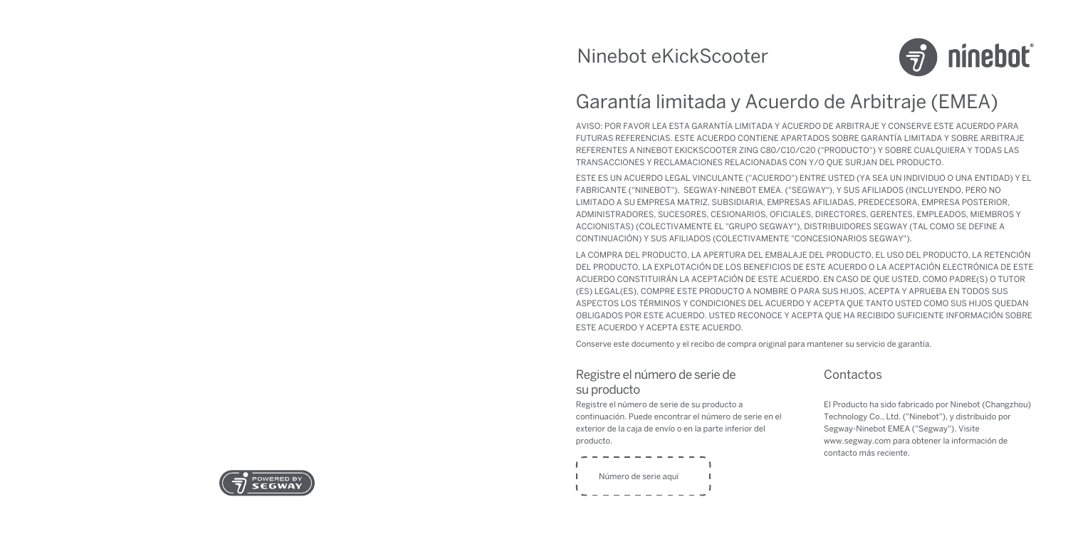

# Garantía limitada y Acuerdo de Arbitraje (EMEA)

AVISO: POR FAVOR LEA ESTA GARANTÍA LIMITADA Y ACUERDO DE ARBITRAJE Y CONSERVE ESTE ACUERDO PARA FUTURAS REFERENCIAS. ESTE ACUERDO CONTIENE APARTADOS SOBRE GARANTÍA LIMITADA Y SOBRE ARBITRAJE REFERENTES A NINEBOT EKICKSCOOTER ZING C80/C10/C20 ("PRODUCTO") Y SOBRE CUALQUIERA Y TODAS LAS TRANSACCIONES Y RECLAMACIONES RELACIONADAS CON Y/O QUE SURJAN DEL PRODUCTO.

ESTE ES UN ACUERDO LEGAL VINCULANTE ("ACUERDO") ENTRE USTED (YA SEA UN INDIVIDUO O UNA ENTIDAD) Y EL FABRICANTE ("NINEBOT"), SEGWAY-NINEBOT EMEA. ("SEGWAY"), Y SUS AFILIADOS (INCLUYENDO, PERO NO LIMITADO A SU EMPRESA MATRIZ, SUBSIDIARIA, EMPRESAS AFILIADAS, PREDECESORA, EMPRESA POSTERIOR, ADMINISTRADORES, SUCESORES, CESIONARIOS, OFICIALES, DIRECTORES, GERENTES, EMPLEADOS, MIEMBROS Y ACCIONISTAS) (COLECTIVAMENTE EL "GRUPO SEGWAY"), DISTRIBUIDORES SEGWAY (TAL COMO SE DEFINE A CONTINUACIÓN) Y SUS AFILIADOS (COLECTIVAMENTE "CONCESIONARIOS SEGWAY").

LA COMPRA DEL PRODUCTO, LA APERTURA DEL EMBALAJE DEL PRODUCTO, EL USO DEL PRODUCTO, LA RETENCIÓN DEL PRODUCTO, LA EXPLOTACIÓN DE LOS BENEFICIOS DE ESTE ACUERDO O LA ACEPTACIÓN ELECTRÓNICA DE ESTE ACUERDO CONSTITUIRÁN LA ACEPTACIÓN DE ESTE ACUERDO. EN CASO DE QUE USTED, COMO PADRE(S) O TUTOR (ES) LEGAL(ES), COMPRE ESTE PRODUCTO A NOMBRE O PARA SUS HIJOS, ACEPTA Y APRUEBA EN TODOS SUS ASPECTOS LOS TÉRMINOS Y CONDICIONES DEL ACUERDO Y ACEPTA QUE TANTO USTED COMO SUS HIJOS QUEDAN OBLIGADOS POR ESTE ACUERDO. USTED RECONOCE Y ACEPTA QUE HA RECIBIDO SUFICIENTE INFORMACIÓN SOBRE ESTE ACUERDO Y ACEPTA ESTE ACUERDO.

Conserve este documento y el recibo de compra original para mantener su servicio de garantía.

## Registre el número de serie de su producto

Registre el número de serie de su producto a continuación. Puede encontrar el número de serie en el exterior de la caja de envío o en la parte inferior del producto.



## Contactos

El Producto ha sido fabricado por Ninebot (Changzhou) Technology Co., Ltd. ("Ninebot"), y distribuido por Segway-Ninebot EMEA ("Segway"). Visite www.segway.com para obtener la información de contacto más reciente.

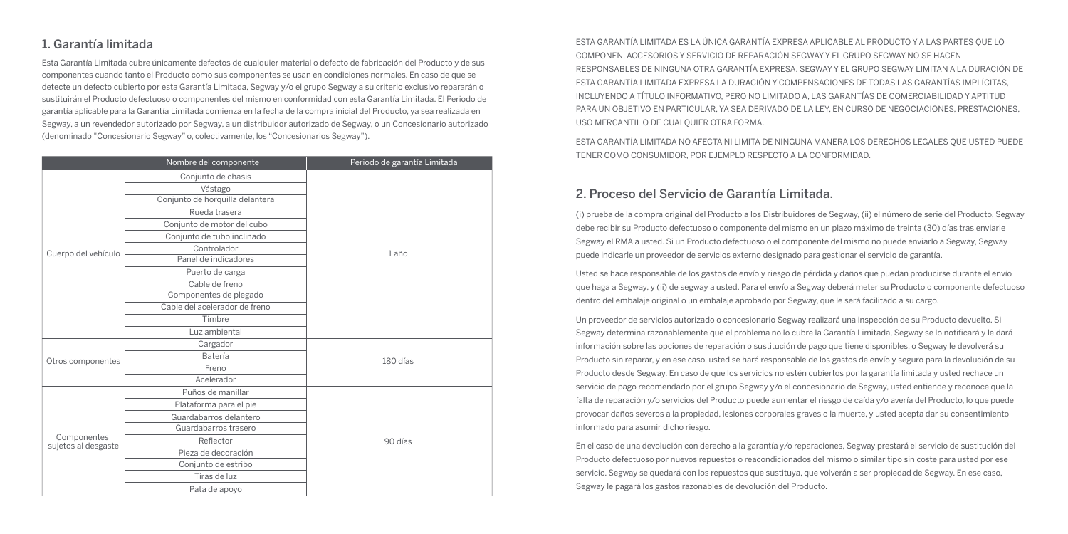## 1. Garantía limitada

Esta Garantía Limitada cubre únicamente defectos de cualquier material o defecto de fabricación del Producto y de sus componentes cuando tanto el Producto como sus componentes se usan en condiciones normales. En caso de que se detecte un defecto cubierto por esta Garantía Limitada, Segway y/o el grupo Segway a su criterio exclusivo repararán o sustituirán el Producto defectuoso o componentes del mismo en conformidad con esta Garantía Limitada. El Periodo de garantía aplicable para la Garantía Limitada comienza en la fecha de la compra inicial del Producto, ya sea realizada en Segway, a un revendedor autorizado por Segway, a un distribuidor autorizado de Segway, o un Concesionario autorizado (denominado "Concesionario Segway" o, colectivamente, los "Concesionarios Segway").

|                                    | Nombre del componente           | Periodo de garantía Limitada |
|------------------------------------|---------------------------------|------------------------------|
|                                    | Conjunto de chasis              |                              |
|                                    | Vástago                         |                              |
|                                    | Conjunto de horquilla delantera |                              |
|                                    | Rueda trasera                   |                              |
|                                    | Conjunto de motor del cubo      |                              |
|                                    | Conjunto de tubo inclinado      |                              |
| Cuerpo del vehículo                | Controlador                     | 1 año                        |
|                                    | Panel de indicadores            |                              |
|                                    | Puerto de carga                 |                              |
|                                    | Cable de freno                  |                              |
|                                    | Componentes de plegado          |                              |
|                                    | Cable del acelerador de freno   |                              |
|                                    | Timbre                          |                              |
|                                    | Luz ambiental                   |                              |
|                                    | Cargador                        | 180 días                     |
| Otros componentes                  | Batería                         |                              |
|                                    | Freno                           |                              |
|                                    | Acelerador                      |                              |
|                                    | Puños de manillar               |                              |
| Componentes<br>sujetos al desgaste | Plataforma para el pie          |                              |
|                                    | Guardabarros delantero          | 90 días                      |
|                                    | Guardabarros trasero            |                              |
|                                    | Reflector                       |                              |
|                                    | Pieza de decoración             |                              |
|                                    | Conjunto de estribo             |                              |
|                                    | Tiras de luz                    |                              |
|                                    | Pata de apoyo                   |                              |

ESTA GARANTÍA LIMITADA ES LA ÚNICA GARANTÍA EXPRESA APLICABLE AL PRODUCTO Y A LAS PARTES QUE LO COMPONEN, ACCESORIOS Y SERVICIO DE REPARACIÓN SEGWAY Y EL GRUPO SEGWAY NO SE HACEN RESPONSABLES DE NINGUNA OTRA GARANTÍA EXPRESA. SEGWAY Y EL GRUPO SEGWAY LIMITAN A LA DURACIÓN DE ESTA GARANTÍA LIMITADA EXPRESA LA DURACIÓN Y COMPENSACIONES DE TODAS LAS GARANTÍAS IMPLÍCITAS, INCLUYENDO A TÍTULO INFORMATIVO, PERO NO LIMITADO A, LAS GARANTÍAS DE COMERCIABILIDAD Y APTITUD PARA UN OBJETIVO EN PARTICULAR, YA SEA DERIVADO DE LA LEY, EN CURSO DE NEGOCIACIONES, PRESTACIONES, USO MERCANTIL O DE CUALQUIER OTRA FORMA.

ESTA GARANTÍA LIMITADA NO AFECTA NI LIMITA DE NINGUNA MANERA LOS DERECHOS LEGALES QUE USTED PUEDE TENER COMO CONSUMIDOR, POR EJEMPLO RESPECTO A LA CONFORMIDAD.

#### 2. Proceso del Servicio de Garantía Limitada.

(i) prueba de la compra original del Producto a los Distribuidores de Segway, (ii) el número de serie del Producto, Segway debe recibir su Producto defectuoso o componente del mismo en un plazo máximo de treinta (30) días tras enviarle Segway el RMA a usted. Si un Producto defectuoso o el componente del mismo no puede enviarlo a Segway, Segway puede indicarle un proveedor de servicios externo designado para gestionar el servicio de garantía.

Usted se hace responsable de los gastos de envío y riesgo de pérdida y daños que puedan producirse durante el envío que haga a Segway, y (ii) de segway a usted. Para el envío a Segway deberá meter su Producto o componente defectuoso dentro del embalaje original o un embalaje aprobado por Segway, que le será facilitado a su cargo.

Un proveedor de servicios autorizado o concesionario Segway realizará una inspección de su Producto devuelto. Si Segway determina razonablemente que el problema no lo cubre la Garantía Limitada, Segway se lo notificará y le dará información sobre las opciones de reparación o sustitución de pago que tiene disponibles, o Segway le devolverá su Producto sin reparar, y en ese caso, usted se hará responsable de los gastos de envío y seguro para la devolución de su Producto desde Segway. En caso de que los servicios no estén cubiertos por la garantía limitada y usted rechace un servicio de pago recomendado por el grupo Segway y/o el concesionario de Segway, usted entiende y reconoce que la falta de reparación y/o servicios del Producto puede aumentar el riesgo de caída y/o avería del Producto, lo que puede provocar daños severos a la propiedad, lesiones corporales graves o la muerte, y usted acepta dar su consentimiento informado para asumir dicho riesgo.

En el caso de una devolución con derecho a la garantía y/o reparaciones, Segway prestará el servicio de sustitución del Producto defectuoso por nuevos repuestos o reacondicionados del mismo o similar tipo sin coste para usted por ese servicio. Segway se quedará con los repuestos que sustituya, que volverán a ser propiedad de Segway. En ese caso, Segway le pagará los gastos razonables de devolución del Producto.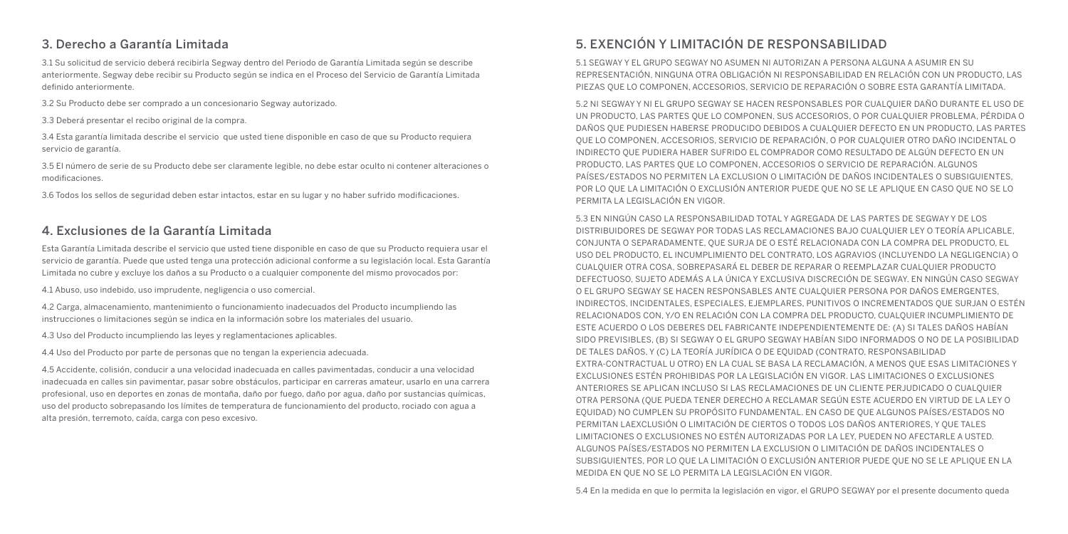### 3. Derecho a Garantía Limitada

3.1 Su solicitud de servicio deberá recibirla Segway dentro del Periodo de Garantía Limitada según se describe anteriormente. Segway debe recibir su Producto según se indica en el Proceso del Servicio de Garantía Limitada definido anteriormente.

- 3.2 Su Producto debe ser comprado a un concesionario Segway autorizado.
- 3.3 Deberá presentar el recibo original de la compra.

3.4 Esta garantía limitada describe el servicio que usted tiene disponible en caso de que su Producto requiera servicio de garantía.

3.5 El número de serie de su Producto debe ser claramente legible, no debe estar oculto ni contener alteraciones o modificaciones.

3.6 Todos los sellos de seguridad deben estar intactos, estar en su lugar y no haber sufrido modificaciones.

#### 4. Exclusiones de la Garantía Limitada

Esta Garantía Limitada describe el servicio que usted tiene disponible en caso de que su Producto requiera usar el servicio de garantía. Puede que usted tenga una protección adicional conforme a su legislación local. Esta Garantía Limitada no cubre y excluye los daños a su Producto o a cualquier componente del mismo provocados por:

4.1 Abuso, uso indebido, uso imprudente, negligencia o uso comercial.

4.2 Carga, almacenamiento, mantenimiento o funcionamiento inadecuados del Producto incumpliendo las instrucciones o limitaciones según se indica en la información sobre los materiales del usuario.

4.3 Uso del Producto incumpliendo las leyes y reglamentaciones aplicables.

4.4 Uso del Producto por parte de personas que no tengan la experiencia adecuada.

4.5 Accidente, colisión, conducir a una velocidad inadecuada en calles pavimentadas, conducir a una velocidad inadecuada en calles sin pavimentar, pasar sobre obstáculos, participar en carreras amateur, usarlo en una carrera profesional, uso en deportes en zonas de montaña, daño por fuego, daño por agua, daño por sustancias químicas, uso del producto sobrepasando los límites de temperatura de funcionamiento del producto, rociado con agua a alta presión, terremoto, caída, carga con peso excesivo.

## 5. EXENCIÓN Y LIMITACIÓN DE RESPONSABILIDAD

5.1 SEGWAY Y EL GRUPO SEGWAY NO ASUMEN NI AUTORIZAN A PERSONA ALGUNA A ASUMIR EN SU REPRESENTACIÓN, NINGUNA OTRA OBLIGACIÓN NI RESPONSABILIDAD EN RELACIÓN CON UN PRODUCTO, LAS PIEZAS QUE LO COMPONEN, ACCESORIOS, SERVICIO DE REPARACIÓN O SOBRE ESTA GARANTÍA LIMITADA.

5.2 NI SEGWAY Y NI EL GRUPO SEGWAY SE HACEN RESPONSABLES POR CUALQUIER DAÑO DURANTE EL USO DE UN PRODUCTO, LAS PARTES QUE LO COMPONEN, SUS ACCESORIOS, O POR CUALQUIER PROBLEMA, PÉRDIDA O DAÑOS QUE PUDIESEN HABERSE PRODUCIDO DEBIDOS A CUALQUIER DEFECTO EN UN PRODUCTO, LAS PARTES QUE LO COMPONEN, ACCESORIOS, SERVICIO DE REPARACIÓN, O POR CUALQUIER OTRO DAÑO INCIDENTAL O INDIRECTO QUE PUDIERA HABER SUFRIDO EL COMPRADOR COMO RESULTADO DE ALGÚN DEFECTO EN UN PRODUCTO, LAS PARTES QUE LO COMPONEN, ACCESORIOS O SERVICIO DE REPARACIÓN. ALGUNOS PAÍSES/ESTADOS NO PERMITEN LA EXCLUSION O LIMITACIÓN DE DAÑOS INCIDENTALES O SUBSIGUIENTES, POR LO QUE LA LIMITACIÓN O EXCLUSIÓN ANTERIOR PUEDE QUE NO SE LE APLIQUE EN CASO QUE NO SE LO PERMITA LA LEGISLACIÓN EN VIGOR.

5.3 EN NINGÚN CASO LA RESPONSABILIDAD TOTAL Y AGREGADA DE LAS PARTES DE SEGWAY Y DE LOS DISTRIBUIDORES DE SEGWAY POR TODAS LAS RECLAMACIONES BAJO CUALQUIER LEY O TEORÍA APLICABLE, CONJUNTA O SEPARADAMENTE, QUE SURJA DE O ESTÉ RELACIONADA CON LA COMPRA DEL PRODUCTO, EL USO DEL PRODUCTO, EL INCUMPLIMIENTO DEL CONTRATO, LOS AGRAVIOS (INCLUYENDO LA NEGLIGENCIA) O CUALQUIER OTRA COSA, SOBREPASARÁ EL DEBER DE REPARAR O REEMPLAZAR CUALQUIER PRODUCTO DEFECTUOSO, SUJETO ADEMÁS A LA ÚNICA Y EXCLUSIVA DISCRECIÓN DE SEGWAY. EN NINGÚN CASO SEGWAY O EL GRUPO SEGWAY SE HACEN RESPONSABLES ANTE CUALQUIER PERSONA POR DAÑOS EMERGENTES, INDIRECTOS, INCIDENTALES, ESPECIALES, EJEMPLARES, PUNITIVOS O INCREMENTADOS QUE SURJAN O ESTÉN RELACIONADOS CON, Y/O EN RELACIÓN CON LA COMPRA DEL PRODUCTO, CUALQUIER INCUMPLIMIENTO DE ESTE ACUERDO O LOS DEBERES DEL FABRICANTE INDEPENDIENTEMENTE DE: (A) SI TALES DAÑOS HABÍAN SIDO PREVISIBLES, (B) SI SEGWAY O EL GRUPO SEGWAY HABÍAN SIDO INFORMADOS O NO DE LA POSIBILIDAD DE TALES DAÑOS, Y (C) LA TEORÍA JURÍDICA O DE EQUIDAD (CONTRATO, RESPONSABILIDAD EXTRA-CONTRACTUAL U OTRO) EN LA CUAL SE BASA LA RECLAMACIÓN, A MENOS QUE ESAS LIMITACIONES Y EXCLUSIONES ESTÉN PROHIBIDAS POR LA LEGISLACIÓN EN VIGOR. LAS LIMITACIONES O EXCLUSIONES ANTERIORES SE APLICAN INCLUSO SI LAS RECLAMACIONES DE UN CLIENTE PERJUDICADO O CUALQUIER OTRA PERSONA (QUE PUEDA TENER DERECHO A RECLAMAR SEGÚN ESTE ACUERDO EN VIRTUD DE LA LEY O EQUIDAD) NO CUMPLEN SU PROPÓSITO FUNDAMENTAL. EN CASO DE QUE ALGUNOS PAÍSES/ESTADOS NO PERMITAN LAEXCLUSIÓN O LIMITACIÓN DE CIERTOS O TODOS LOS DAÑOS ANTERIORES, Y QUE TALES LIMITACIONES O EXCLUSIONES NO ESTÉN AUTORIZADAS POR LA LEY, PUEDEN NO AFECTARLE A USTED. ALGUNOS PAÍSES/ESTADOS NO PERMITEN LA EXCLUSION O LIMITACIÓN DE DAÑOS INCIDENTALES O SUBSIGUIENTES, POR LO QUE LA LIMITACIÓN O EXCLUSIÓN ANTERIOR PUEDE QUE NO SE LE APLIQUE EN LA MEDIDA EN QUE NO SE LO PERMITA LA LEGISLACIÓN EN VIGOR.

5.4 En la medida en que lo permita la legislación en vigor, el GRUPO SEGWAY por el presente documento queda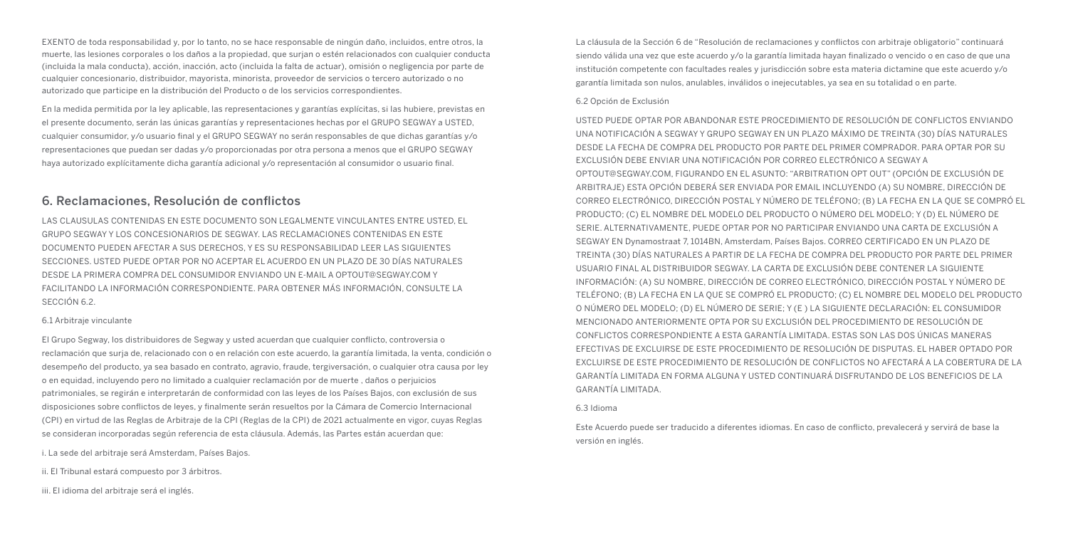EXENTO de toda responsabilidad y, por lo tanto, no se hace responsable de ningún daño, incluidos, entre otros, la muerte, las lesiones corporales o los daños a la propiedad, que surjan o estén relacionados con cualquier conducta (incluida la mala conducta), acción, inacción, acto (incluida la falta de actuar), omisión o negligencia por parte de cualquier concesionario, distribuidor, mayorista, minorista, proveedor de servicios o tercero autorizado o no autorizado que participe en la distribución del Producto o de los servicios correspondientes.

En la medida permitida por la ley aplicable, las representaciones y garantías explícitas, si las hubiere, previstas en el presente documento, serán las únicas garantías y representaciones hechas por el GRUPO SEGWAY a USTED, cualquier consumidor, y/o usuario final y el GRUPO SEGWAY no serán responsables de que dichas garantías y/o representaciones que puedan ser dadas y/o proporcionadas por otra persona a menos que el GRUPO SEGWAY haya autorizado explícitamente dicha garantía adicional y/o representación al consumidor o usuario final.

#### 6. Reclamaciones, Resolución de conflictos

LAS CLAUSULAS CONTENIDAS EN ESTE DOCUMENTO SON LEGALMENTE VINCULANTES ENTRE USTED, EL GRUPO SEGWAY Y LOS CONCESIONARIOS DE SEGWAY. LAS RECLAMACIONES CONTENIDAS EN ESTE DOCUMENTO PUEDEN AFECTAR A SUS DERECHOS, Y ES SU RESPONSABILIDAD LEER LAS SIGUIENTES SECCIONES. USTED PUEDE OPTAR POR NO ACEPTAR EL ACUERDO EN UN PLAZO DE 30 DÍAS NATURALES DESDE LA PRIMERA COMPRA DEL CONSUMIDOR ENVIANDO UN E-MAIL A OPTOUT@SEGWAY.COM Y FACILITANDO LA INFORMACIÓN CORRESPONDIENTE. PARA OBTENER MÁS INFORMACIÓN, CONSULTE LA SECCIÓN 6.2.

#### 6.1 Arbitraje vinculante

El Grupo Segway, los distribuidores de Segway y usted acuerdan que cualquier conflicto, controversia o reclamación que surja de, relacionado con o en relación con este acuerdo, la garantía limitada, la venta, condición o desempeño del producto, ya sea basado en contrato, agravio, fraude, tergiversación, o cualquier otra causa por ley o en equidad, incluyendo pero no limitado a cualquier reclamación por de muerte , daños o perjuicios patrimoniales, se regirán e interpretarán de conformidad con las leyes de los Países Bajos, con exclusión de sus disposiciones sobre conflictos de leyes, y finalmente serán resueltos por la Cámara de Comercio Internacional (CPI) en virtud de las Reglas de Arbitraje de la CPI (Reglas de la CPI) de 2021 actualmente en vigor, cuyas Reglas se consideran incorporadas según referencia de esta cláusula. Además, las Partes están acuerdan que:

i. La sede del arbitraje será Amsterdam, Países Bajos.

ii. El Tribunal estará compuesto por 3 árbitros.

iii. El idioma del arbitraje será el inglés.

La cláusula de la Sección 6 de "Resolución de reclamaciones y conflictos con arbitraje obligatorio" continuará siendo válida una vez que este acuerdo y/o la garantía limitada hayan finalizado o vencido o en caso de que una institución competente con facultades reales y jurisdicción sobre esta materia dictamine que este acuerdo y/o garantía limitada son nulos, anulables, inválidos o inejecutables, ya sea en su totalidad o en parte.

#### 6.2 Opción de Exclusión

USTED PUEDE OPTAR POR ABANDONAR ESTE PROCEDIMIENTO DE RESOLUCIÓN DE CONFLICTOS ENVIANDO UNA NOTIFICACIÓN A SEGWAY Y GRUPO SEGWAY EN UN PLAZO MÁXIMO DE TREINTA (30) DÍAS NATURALES DESDE LA FECHA DE COMPRA DEL PRODUCTO POR PARTE DEL PRIMER COMPRADOR. PARA OPTAR POR SU EXCLUSIÓN DEBE ENVIAR UNA NOTIFICACIÓN POR CORREO ELECTRÓNICO A SEGWAY A OPTOUT@SEGWAY.COM, FIGURANDO EN EL ASUNTO: "ARBITRATION OPT OUT" (OPCIÓN DE EXCLUSIÓN DE ARBITRAJE) ESTA OPCIÓN DEBERÁ SER ENVIADA POR EMAIL INCLUYENDO (A) SU NOMBRE, DIRECCIÓN DE CORREO ELECTRÓNICO, DIRECCIÓN POSTAL Y NÚMERO DE TELÉFONO; (B) LA FECHA EN LA QUE SE COMPRÓ EL PRODUCTO; (C) EL NOMBRE DEL MODELO DEL PRODUCTO O NÚMERO DEL MODELO; Y (D) EL NÚMERO DE SERIE. ALTERNATIVAMENTE, PUEDE OPTAR POR NO PARTICIPAR ENVIANDO UNA CARTA DE EXCLUSIÓN A SEGWAY EN Dynamostraat 7, 1014BN, Amsterdam, Países Bajos. CORREO CERTIFICADO EN UN PLAZO DE TREINTA (30) DÍAS NATURALES A PARTIR DE LA FECHA DE COMPRA DEL PRODUCTO POR PARTE DEL PRIMER USUARIO FINAL AL DISTRIBUIDOR SEGWAY. LA CARTA DE EXCLUSIÓN DEBE CONTENER LA SIGUIENTE INFORMACIÓN: (A) SU NOMBRE, DIRECCIÓN DE CORREO ELECTRÓNICO, DIRECCIÓN POSTAL Y NÚMERO DE TELÉFONO; (B) LA FECHA EN LA QUE SE COMPRÓ EL PRODUCTO; (C) EL NOMBRE DEL MODELO DEL PRODUCTO O NÚMERO DEL MODELO; (D) EL NÚMERO DE SERIE; Y (E ) LA SIGUIENTE DECLARACIÓN: EL CONSUMIDOR MENCIONADO ANTERIORMENTE OPTA POR SU EXCLUSIÓN DEL PROCEDIMIENTO DE RESOLUCIÓN DE CONFLICTOS CORRESPONDIENTE A ESTA GARANTÍA LIMITADA. ESTAS SON LAS DOS ÚNICAS MANERAS EFECTIVAS DE EXCLUIRSE DE ESTE PROCEDIMIENTO DE RESOLUCIÓN DE DISPUTAS. EL HABER OPTADO POR EXCLUIRSE DE ESTE PROCEDIMIENTO DE RESOLUCIÓN DE CONFLICTOS NO AFECTARÁ A LA COBERTURA DE LA GARANTÍA LIMITADA EN FORMA ALGUNA Y USTED CONTINUARÁ DISFRUTANDO DE LOS BENEFICIOS DE LA GARANTÍA LIMITADA.

#### 6.3 Idioma

Este Acuerdo puede ser traducido a diferentes idiomas. En caso de conflicto, prevalecerá y servirá de base la versión en inglés.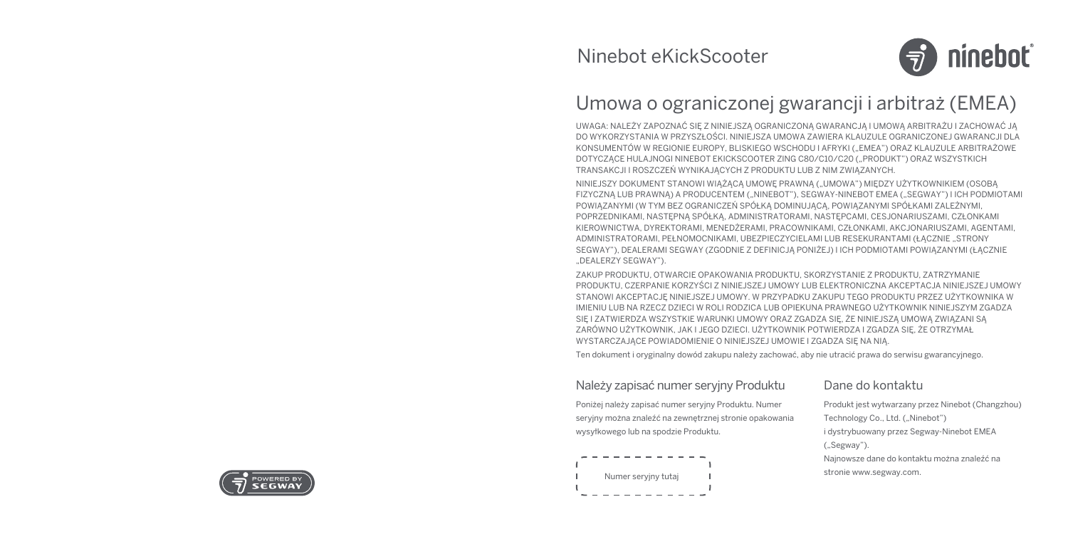

# Umowa o ograniczonej gwarancji i arbitraż (EMEA)

UWAGA: NALEŻY ZAPOZNAĆ SIĘ Z NINIEJSZĄ OGRANICZONĄ GWARANCJĄ I UMOWĄ ARBITRAŻU I ZACHOWAĆ JĄ DO WYKORZYSTANIA W PRZYSZŁOŚCI. NINIEJSZA UMOWA ZAWIERA KLAUZULE OGRANICZONEJ GWARANCJI DLA KONSUMENTÓW W REGIONIE EUROPY, BLISKIEGO WSCHODU I AFRYKI ("EMEA") ORAZ KLAUZULE ARBITRAŻOWE DOTYCZĄCE HULAJNOGI NINEBOT EKICKSCOOTER ZING C80/C10/C20 ("PRODUKT") ORAZ WSZYSTKICH TRANSAKCJI I ROSZCZEŃ WYNIKAJĄCYCH Z PRODUKTU LUB Z NIM ZWIĄZANYCH.

NINIEJSZY DOKUMENT STANOWI WIĄŻĄCĄ UMOWE PRAWNĄ ("UMOWA") MIEDZY UŻYTKOWNIKIEM (OSOBA FIZYCZNĄ LUB PRAWNĄ) A PRODUCENTEM ("NINEBOT"), SEGWAY-NINEBOT EMEA ("SEGWAY") I ICH PODMIOTAMI POWIĄZANYMI (W TYM BEZ OGRANICZEŃ SPÓŁKĄ DOMINUJĄCĄ, POWIĄZANYMI SPÓŁKAMI ZALEŻNYMI, POPRZEDNIKAMI, NASTĘPNĄ SPÓŁKĄ, ADMINISTRATORAMI, NASTĘPCAMI, CESJONARIUSZAMI, CZŁONKAMI KIEROWNICTWA, DYREKTORAMI, MENEDŻERAMI, PRACOWNIKAMI, CZŁONKAMI, AKCJONARIUSZAMI, AGENTAMI, ADMINISTRATORAMI, PEŁNOMOCNIKAMI, UBEZPIECZYCIELAMI LUB RESEKURANTAMI (ŁACZNIE "STRONY SEGWAY"), DEALERAMI SEGWAY (ZGODNIE Z DEFINICJĄ PONIŻEJ) I ICH PODMIOTAMI POWIĄZANYMI (ŁĄCZNIE ..DEALERZY SEGWAY").

ZAKUP PRODUKTU, OTWARCIE OPAKOWANIA PRODUKTU, SKORZYSTANIE Z PRODUKTU, ZATRZYMANIE PRODUKTU, CZERPANIE KORZYŚCI Z NINIEJSZEJ UMOWY LUB ELEKTRONICZNA AKCEPTACJA NINIEJSZEJ UMOWY STANOWI AKCEPTACJĘ NINIEJSZEJ UMOWY. W PRZYPADKU ZAKUPU TEGO PRODUKTU PRZEZ UŻYTKOWNIKA W IMIENIU LUB NA RZECZ DZIECI W ROLI RODZICA LUB OPIEKUNA PRAWNEGO UŻYTKOWNIK NINIEJSZYM ZGADZA SIĘ I ZATWIERDZA WSZYSTKIE WARUNKI UMOWY ORAZ ZGADZA SIĘ, ŻE NINIEJSZĄ UMOWĄ ZWIĄZANI SĄ ZARÓWNO UŻYTKOWNIK, JAK I JEGO DZIECI. UŻYTKOWNIK POTWIERDZA I ZGADZA SIĘ, ŻE OTRZYMAŁ WYSTARCZAJĄCE POWIADOMIENIE O NINIEJSZEJ UMOWIE I ZGADZA SIĘ NA NIĄ.

Ten dokument i oryginalny dowód zakupu należy zachować, aby nie utracić prawa do serwisu gwarancyjnego.

#### Należy zapisać numer seryjny Produktu

Poniżej należy zapisać numer seryjny Produktu. Numer seryjny można znaleźć na zewnętrznej stronie opakowania wysyłkowego lub na spodzie Produktu.

# Numer seryjny tutaj

## Dane do kontaktu

Produkt jest wytwarzany przez Ninebot (Changzhou) Technology Co., Ltd. ("Ninebot") i dystrybuowany przez Segway-Ninebot EMEA ("Segway"). Najnowsze dane do kontaktu można znaleźć na stronie www.segway.com.

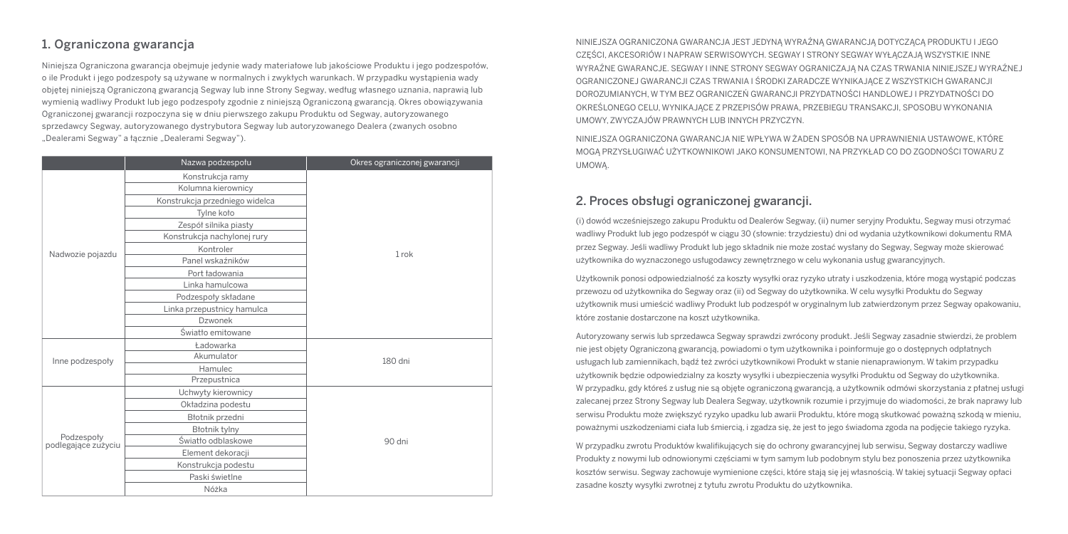## 1. Ograniczona gwarancja

Niniejsza Ograniczona gwarancja obejmuje jedynie wady materiałowe lub jakościowe Produktu i jego podzespołów, o ile Produkt i jego podzespoły są używane w normalnych i zwykłych warunkach. W przypadku wystąpienia wady objętej niniejszą Ograniczoną gwarancją Segway lub inne Strony Segway, według własnego uznania, naprawią lub wymienią wadliwy Produkt lub jego podzespoły zgodnie z niniejszą Ograniczoną gwarancją. Okres obowiązywania Ograniczonej gwarancji rozpoczyna się w dniu pierwszego zakupu Produktu od Segway, autoryzowanego sprzedawcy Segway, autoryzowanego dystrybutora Segway lub autoryzowanego Dealera (zwanych osobno "Dealerami Segway" a łącznie "Dealerami Segway").

|                                   | Nazwa podzespołu               | Okres ograniczonej gwarancji |
|-----------------------------------|--------------------------------|------------------------------|
|                                   | Konstrukcja ramy               |                              |
|                                   | Kolumna kierownicy             |                              |
|                                   | Konstrukcja przedniego widelca |                              |
|                                   | Tylne koto                     |                              |
|                                   | Zespół silnika piasty          |                              |
|                                   | Konstrukcja nachylonej rury    |                              |
| Nadwozie pojazdu                  | Kontroler                      | 1 rok                        |
|                                   | Panel wskaźników               |                              |
|                                   | Port fadowania                 |                              |
|                                   | Linka hamulcowa                |                              |
|                                   | Podzespoły składane            |                              |
|                                   | Linka przepustnicy hamulca     |                              |
|                                   | Dzwonek                        |                              |
|                                   | Światło emitowane              |                              |
|                                   | Ładowarka                      | 180 dni                      |
| Inne podzespoły                   | Akumulator                     |                              |
|                                   | Hamulec                        |                              |
|                                   | Przepustnica                   |                              |
|                                   | Uchwyty kierownicy             | 90 dni                       |
|                                   | Okładzina podestu              |                              |
| Podzespoły<br>podlegające zużyciu | Błotnik przedni                |                              |
|                                   | Błotnik tylny                  |                              |
|                                   | Światło odblaskowe             |                              |
|                                   | Element dekoracji              |                              |
|                                   | Konstrukcja podestu            |                              |
|                                   | Paski świetlne                 |                              |
|                                   | Nóżka                          |                              |

NINIEJSZA OGRANICZONA GWARANCJA JEST JEDYNĄ WYRAŹNĄ GWARANCJĄ DOTYCZĄCĄ PRODUKTU I JEGO CZĘŚCI, AKCESORIÓW I NAPRAW SERWISOWYCH. SEGWAY I STRONY SEGWAY WYŁĄCZAJĄ WSZYSTKIE INNE WYRAŹNE GWARANCJE. SEGWAY I INNE STRONY SEGWAY OGRANICZAJĄ NA CZAS TRWANIA NINIEJSZEJ WYRAŹNEJ OGRANICZONEJ GWARANCJI CZAS TRWANIA I ŚRODKI ZARADCZE WYNIKAJĄCE Z WSZYSTKICH GWARANCJI DOROZUMIANYCH, W TYM BEZ OGRANICZEŃ GWARANCJI PRZYDATNOŚCI HANDLOWEJ I PRZYDATNOŚCI DO OKREŚLONEGO CELU, WYNIKAJĄCE Z PRZEPISÓW PRAWA, PRZEBIEGU TRANSAKCJI, SPOSOBU WYKONANIA UMOWY, ZWYCZAJÓW PRAWNYCH LUB INNYCH PRZYCZYN.

NINIEJSZA OGRANICZONA GWARANCJA NIE WPŁYWA W ŻADEN SPOSÓB NA UPRAWNIENIA USTAWOWE, KTÓRE MOGĄ PRZYSŁUGIWAĆ UŻYTKOWNIKOWI JAKO KONSUMENTOWI, NA PRZYKŁAD CO DO ZGODNOŚCI TOWARU Z UMOWĄ.

## 2. Proces obsługi ograniczonej gwarancji.

(i) dowód wcześniejszego zakupu Produktu od Dealerów Segway, (ii) numer seryjny Produktu, Segway musi otrzymać wadliwy Produkt lub jego podzespół w ciągu 30 (słownie: trzydziestu) dni od wydania użytkownikowi dokumentu RMA przez Segway. Jeśli wadliwy Produkt lub jego składnik nie może zostać wysłany do Segway, Segway może skierować użytkownika do wyznaczonego usługodawcy zewnętrznego w celu wykonania usług gwarancyjnych.

Użytkownik ponosi odpowiedzialność za koszty wysyłki oraz ryzyko utraty i uszkodzenia, które mogą wystąpić podczas przewozu od użytkownika do Segway oraz (ii) od Segway do użytkownika. W celu wysyłki Produktu do Segway użytkownik musi umieścić wadliwy Produkt lub podzespół w oryginalnym lub zatwierdzonym przez Segway opakowaniu, które zostanie dostarczone na koszt użytkownika.

Autoryzowany serwis lub sprzedawca Segway sprawdzi zwrócony produkt. Jeśli Segway zasadnie stwierdzi, że problem nie jest objęty Ograniczoną gwarancją, powiadomi o tym użytkownika i poinformuje go o dostępnych odpłatnych usługach lub zamiennikach, bądź też zwróci użytkownikowi Produkt w stanie nienaprawionym. W takim przypadku użytkownik będzie odpowiedzialny za koszty wysyłki i ubezpieczenia wysyłki Produktu od Segway do użytkownika. W przypadku, gdy któreś z usług nie są objęte ograniczoną gwarancją, a użytkownik odmówi skorzystania z płatnej usługi zalecanej przez Strony Segway lub Dealera Segway, użytkownik rozumie i przyjmuje do wiadomości, że brak naprawy lub serwisu Produktu może zwiększyć ryzyko upadku lub awarii Produktu, które mogą skutkować poważną szkodą w mieniu, poważnymi uszkodzeniami ciała lub śmiercią, i zgadza się, że jest to jego świadoma zgoda na podjęcie takiego ryzyka.

W przypadku zwrotu Produktów kwalifikujących się do ochrony gwarancyjnej lub serwisu, Segway dostarczy wadliwe Produkty z nowymi lub odnowionymi częściami w tym samym lub podobnym stylu bez ponoszenia przez użytkownika kosztów serwisu. Segway zachowuje wymienione części, które stają się jej własnością. W takiej sytuacji Segway opłaci zasadne koszty wysyłki zwrotnej z tytułu zwrotu Produktu do użytkownika.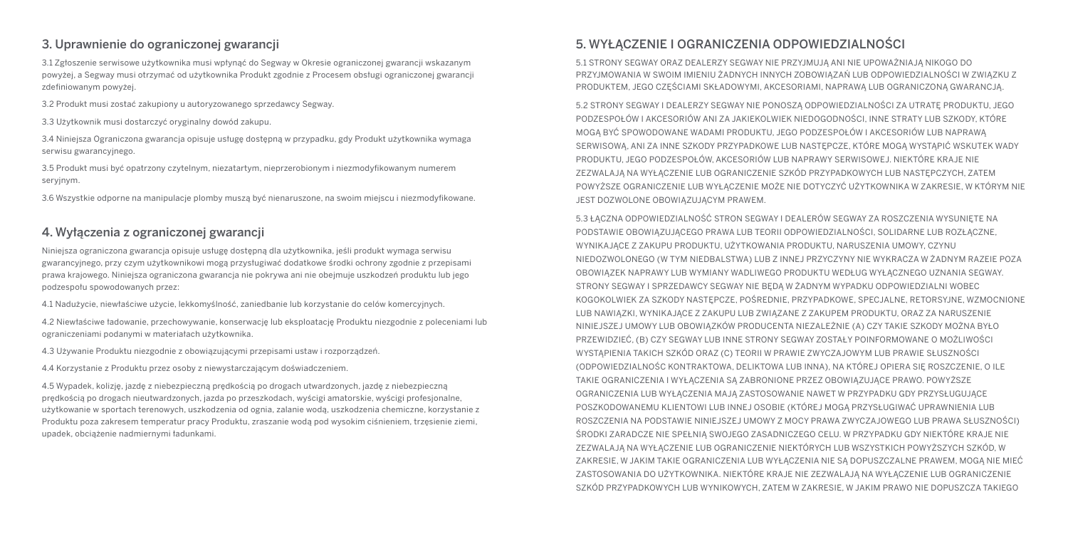## 3. Uprawnienie do ograniczonej gwarancji

3.1 Zgłoszenie serwisowe użytkownika musi wpłynąć do Segway w Okresie ograniczonej gwarancji wskazanym powyżej, a Segway musi otrzymać od użytkownika Produkt zgodnie z Procesem obsługi ograniczonej gwarancji zdefiniowanym powyżej.

3.2 Produkt musi zostać zakupiony u autoryzowanego sprzedawcy Segway.

3.3 Użytkownik musi dostarczyć oryginalny dowód zakupu.

3.4 Niniejsza Ograniczona gwarancja opisuje usługę dostępną w przypadku, gdy Produkt użytkownika wymaga serwisu gwarancyjnego.

3.5 Produkt musi być opatrzony czytelnym, niezatartym, nieprzerobionym i niezmodyfikowanym numerem seryjnym.

3.6 Wszystkie odporne na manipulacje plomby muszą być nienaruszone, na swoim miejscu i niezmodyfikowane.

## 4. Wyłączenia z ograniczonej gwarancji

Niniejsza ograniczona gwarancja opisuje usługę dostępną dla użytkownika, jeśli produkt wymaga serwisu gwarancyjnego, przy czym użytkownikowi mogą przysługiwać dodatkowe środki ochrony zgodnie z przepisami prawa krajowego. Niniejsza ograniczona gwarancja nie pokrywa ani nie obejmuje uszkodzeń produktu lub jego podzespołu spowodowanych przez:

4.1 Nadużycie, niewłaściwe użycie, lekkomyślność, zaniedbanie lub korzystanie do celów komercyjnych.

4.2 Niewłaściwe ładowanie, przechowywanie, konserwację lub eksploatację Produktu niezgodnie z poleceniami lub ograniczeniami podanymi w materiałach użytkownika.

4.3 Używanie Produktu niezgodnie z obowiązującymi przepisami ustaw i rozporządzeń.

4.4 Korzystanie z Produktu przez osoby z niewystarczającym doświadczeniem.

4.5 Wypadek, kolizję, jazdę z niebezpieczną prędkością po drogach utwardzonych, jazdę z niebezpieczną prędkością po drogach nieutwardzonych, jazda po przeszkodach, wyścigi amatorskie, wyścigi profesjonalne, użytkowanie w sportach terenowych, uszkodzenia od ognia, zalanie wodą, uszkodzenia chemiczne, korzystanie z Produktu poza zakresem temperatur pracy Produktu, zraszanie wodą pod wysokim ciśnieniem, trzęsienie ziemi, upadek, obciążenie nadmiernymi ładunkami.

## 5. WYŁĄCZENIE I OGRANICZENIA ODPOWIEDZIALNOŚCI

5.1 STRONY SEGWAY ORAZ DEALERZY SEGWAY NIE PRZYJMUJĄ ANI NIE UPOWAŻNIAJĄ NIKOGO DO PRZYJMOWANIA W SWOIM IMIENIU ŻADNYCH INNYCH ZOBOWIĄZAŃ LUB ODPOWIEDZIALNOŚCI W ZWIĄZKU Z PRODUKTEM, JEGO CZĘŚCIAMI SKŁADOWYMI, AKCESORIAMI, NAPRAWĄ LUB OGRANICZONĄ GWARANCJĄ.

5.2 STRONY SEGWAY I DEALERZY SEGWAY NIE PONOSZĄ ODPOWIEDZIALNOŚCI ZA UTRATĘ PRODUKTU, JEGO PODZESPOŁÓW I AKCESORIÓW ANI ZA JAKIEKOLWIEK NIEDOGODNOŚCI, INNE STRATY LUB SZKODY, KTÓRE MOGĄ BYĆ SPOWODOWANE WADAMI PRODUKTU, JEGO PODZESPOŁÓW I AKCESORIÓW LUB NAPRAWĄ SERWISOWĄ, ANI ZA INNE SZKODY PRZYPADKOWE LUB NASTĘPCZE, KTÓRE MOGĄ WYSTĄPIĆ WSKUTEK WADY PRODUKTU, JEGO PODZESPOŁÓW, AKCESORIÓW LUB NAPRAWY SERWISOWEJ. NIEKTÓRE KRAJE NIE ZEZWALAJĄ NA WYŁĄCZENIE LUB OGRANICZENIE SZKÓD PRZYPADKOWYCH LUB NASTĘPCZYCH, ZATEM POWYŻSZE OGRANICZENIE LUB WYŁĄCZENIE MOŻE NIE DOTYCZYĆ UŻYTKOWNIKA W ZAKRESIE, W KTÓRYM NIE JEST DOZWOLONE OBOWIAZUJĄCYM PRAWEM.

5.3 ŁĄCZNA ODPOWIEDZIALNOŚĆ STRON SEGWAY I DEALERÓW SEGWAY ZA ROSZCZENIA WYSUNIĘTE NA PODSTAWIE OBOWIĄZUJĄCEGO PRAWA LUB TEORII ODPOWIEDZIALNOŚCI, SOLIDARNE LUB ROZŁĄCZNE. WYNIKAJĄCE Z ZAKUPU PRODUKTU, UŻYTKOWANIA PRODUKTU, NARUSZENIA UMOWY, CZYNU NIEDOZWOLONEGO (W TYM NIEDBALSTWA) LUB Z INNEJ PRZYCZYNY NIE WYKRACZA W ŻADNYM RAZEIE POZA OBOWIĄZEK NAPRAWY LUB WYMIANY WADLIWEGO PRODUKTU WEDŁUG WYŁĄCZNEGO UZNANIA SEGWAY. STRONY SEGWAY I SPRZEDAWCY SEGWAY NIE BĘDĄ W ŻADNYM WYPADKU ODPOWIEDZIALNI WOBEC KOGOKOLWIEK ZA SZKODY NASTĘPCZE, POŚREDNIE, PRZYPADKOWE, SPECJALNE, RETORSYJNE, WZMOCNIONE LUB NAWIĄZKI, WYNIKAJĄCE Z ZAKUPU LUB ZWIĄZANE Z ZAKUPEM PRODUKTU, ORAZ ZA NARUSZENIE NINIEJSZEJ UMOWY LUB OBOWIĄZKÓW PRODUCENTA NIEZALEŻNIE (A) CZY TAKIE SZKODY MOŻNA BYŁO PRZEWIDZIEĆ, (B) CZY SEGWAY LUB INNE STRONY SEGWAY ZOSTAŁY POINFORMOWANE O MOŻLIWOŚCI WYSTĄPIENIA TAKICH SZKÓD ORAZ (C) TEORII W PRAWIE ZWYCZAJOWYM LUB PRAWIE SŁUSZNOŚCI (ODPOWIEDZIALNOŚC KONTRAKTOWA, DELIKTOWA LUB INNA), NA KTÓREJ OPIERA SIĘ ROSZCZENIE, O ILE TAKIE OGRANICZENIA I WYŁĄCZENIA SĄ ZABRONIONE PRZEZ OBOWIĄZUJĄCE PRAWO. POWYŻSZE OGRANICZENIA LUB WYŁĄCZENIA MAJĄ ZASTOSOWANIE NAWET W PRZYPADKU GDY PRZYSŁUGUJĄCE POSZKODOWANEMU KLIENTOWI LUB INNEJ OSOBIE (KTÓREJ MOGĄ PRZYSŁUGIWAĆ UPRAWNIENIA LUB ROSZCZENIA NA PODSTAWIE NINIEJSZEJ UMOWY Z MOCY PRAWA ZWYCZAJOWEGO LUB PRAWA SŁUSZNOŚCI) ŚRODKI ZARADCZE NIE SPEŁNIĄ SWOJEGO ZASADNICZEGO CELU. W PRZYPADKU GDY NIEKTÓRE KRAJE NIE ZEZWALAJĄ NA WYŁĄCZENIE LUB OGRANICZENIE NIEKTÓRYCH LUB WSZYSTKICH POWYŻSZYCH SZKÓD, W ZAKRESIE, W JAKIM TAKIE OGRANICZENIA LUB WYŁĄCZENIA NIE SĄ DOPUSZCZALNE PRAWEM, MOGĄ NIE MIEĆ ZASTOSOWANIA DO UŻYTKOWNIKA. NIEKTÓRE KRAJE NIE ZEZWALAJA NA WYŁACZENIE LUB OGRANICZENIE SZKÓD PRZYPADKOWYCH LUB WYNIKOWYCH, ZATEM W ZAKRESIE, W JAKIM PRAWO NIE DOPUSZCZA TAKIEGO